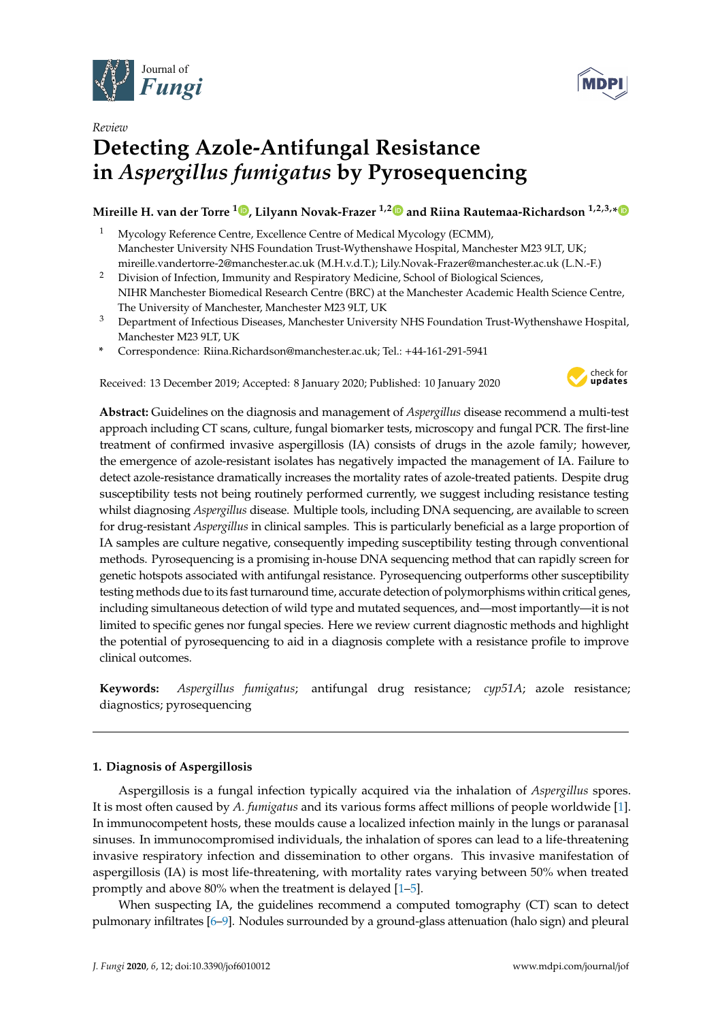



# *Review* **Detecting Azole-Antifungal Resistance in** *Aspergillus fumigatus* **by Pyrosequencing**

# **Mireille H. van der Torre <sup>1</sup> [,](https://orcid.org/0000-0002-9928-7704) Lilyann Novak-Frazer 1,[2](https://orcid.org/0000-0002-1434-3915) and Riina Rautemaa-Richardson 1,2,3,[\\*](https://orcid.org/0000-0002-1071-6040)**

- <sup>1</sup> Mycology Reference Centre, Excellence Centre of Medical Mycology (ECMM), Manchester University NHS Foundation Trust-Wythenshawe Hospital, Manchester M23 9LT, UK; mireille.vandertorre-2@manchester.ac.uk (M.H.v.d.T.); Lily.Novak-Frazer@manchester.ac.uk (L.N.-F.)
- <sup>2</sup> Division of Infection, Immunity and Respiratory Medicine, School of Biological Sciences, NIHR Manchester Biomedical Research Centre (BRC) at the Manchester Academic Health Science Centre, The University of Manchester, Manchester M23 9LT, UK
- <sup>3</sup> Department of Infectious Diseases, Manchester University NHS Foundation Trust-Wythenshawe Hospital, Manchester M23 9LT, UK
- **\*** Correspondence: Riina.Richardson@manchester.ac.uk; Tel.: +44-161-291-5941

Received: 13 December 2019; Accepted: 8 January 2020; Published: 10 January 2020



**Abstract:** Guidelines on the diagnosis and management of *Aspergillus* disease recommend a multi-test approach including CT scans, culture, fungal biomarker tests, microscopy and fungal PCR. The first-line treatment of confirmed invasive aspergillosis (IA) consists of drugs in the azole family; however, the emergence of azole-resistant isolates has negatively impacted the management of IA. Failure to detect azole-resistance dramatically increases the mortality rates of azole-treated patients. Despite drug susceptibility tests not being routinely performed currently, we suggest including resistance testing whilst diagnosing *Aspergillus* disease. Multiple tools, including DNA sequencing, are available to screen for drug-resistant *Aspergillus* in clinical samples. This is particularly beneficial as a large proportion of IA samples are culture negative, consequently impeding susceptibility testing through conventional methods. Pyrosequencing is a promising in-house DNA sequencing method that can rapidly screen for genetic hotspots associated with antifungal resistance. Pyrosequencing outperforms other susceptibility testing methods due to its fast turnaround time, accurate detection of polymorphisms within critical genes, including simultaneous detection of wild type and mutated sequences, and—most importantly—it is not limited to specific genes nor fungal species. Here we review current diagnostic methods and highlight the potential of pyrosequencing to aid in a diagnosis complete with a resistance profile to improve clinical outcomes.

**Keywords:** *Aspergillus fumigatus*; antifungal drug resistance; *cyp51A*; azole resistance; diagnostics; pyrosequencing

# **1. Diagnosis of Aspergillosis**

Aspergillosis is a fungal infection typically acquired via the inhalation of *Aspergillus* spores. It is most often caused by *A. fumigatus* and its various forms affect millions of people worldwide [\[1\]](#page-6-0). In immunocompetent hosts, these moulds cause a localized infection mainly in the lungs or paranasal sinuses. In immunocompromised individuals, the inhalation of spores can lead to a life-threatening invasive respiratory infection and dissemination to other organs. This invasive manifestation of aspergillosis (IA) is most life-threatening, with mortality rates varying between 50% when treated promptly and above 80% when the treatment is delayed [\[1](#page-6-0)[–5\]](#page-6-1).

When suspecting IA, the guidelines recommend a computed tomography (CT) scan to detect pulmonary infiltrates [\[6](#page-6-2)[–9\]](#page-7-0). Nodules surrounded by a ground-glass attenuation (halo sign) and pleural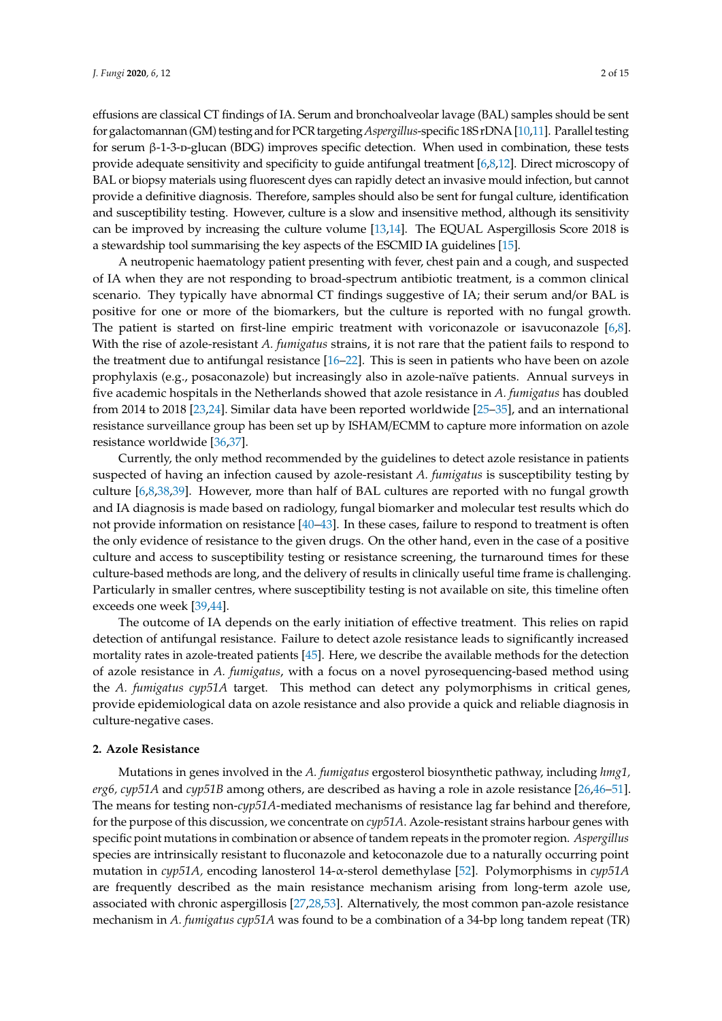effusions are classical CT findings of IA. Serum and bronchoalveolar lavage (BAL) samples should be sent for galactomannan (GM) testing and for PCR targeting*Aspergillus*-specific 18S rDNA [\[10](#page-7-1)[,11\]](#page-7-2). Parallel testing for serum β-1-3-p-glucan (BDG) improves specific detection. When used in combination, these tests provide adequate sensitivity and specificity to guide antifungal treatment [\[6](#page-6-2)[,8,](#page-7-3)[12\]](#page-7-4). Direct microscopy of BAL or biopsy materials using fluorescent dyes can rapidly detect an invasive mould infection, but cannot provide a definitive diagnosis. Therefore, samples should also be sent for fungal culture, identification and susceptibility testing. However, culture is a slow and insensitive method, although its sensitivity can be improved by increasing the culture volume [\[13](#page-7-5)[,14\]](#page-7-6). The EQUAL Aspergillosis Score 2018 is a stewardship tool summarising the key aspects of the ESCMID IA guidelines [\[15\]](#page-7-7).

A neutropenic haematology patient presenting with fever, chest pain and a cough, and suspected of IA when they are not responding to broad-spectrum antibiotic treatment, is a common clinical scenario. They typically have abnormal CT findings suggestive of IA; their serum and/or BAL is positive for one or more of the biomarkers, but the culture is reported with no fungal growth. The patient is started on first-line empiric treatment with voriconazole or isavuconazole [\[6,](#page-6-2)[8\]](#page-7-3). With the rise of azole-resistant *A. fumigatus* strains, it is not rare that the patient fails to respond to the treatment due to antifungal resistance [\[16](#page-7-8)[–22\]](#page-7-9). This is seen in patients who have been on azole prophylaxis (e.g., posaconazole) but increasingly also in azole-naïve patients. Annual surveys in five academic hospitals in the Netherlands showed that azole resistance in *A. fumigatus* has doubled from 2014 to 2018 [\[23,](#page-7-10)[24\]](#page-7-11). Similar data have been reported worldwide [\[25–](#page-8-0)[35\]](#page-8-1), and an international resistance surveillance group has been set up by ISHAM/ECMM to capture more information on azole resistance worldwide [\[36,](#page-8-2)[37\]](#page-8-3).

Currently, the only method recommended by the guidelines to detect azole resistance in patients suspected of having an infection caused by azole-resistant *A. fumigatus* is susceptibility testing by culture [\[6](#page-6-2)[,8](#page-7-3)[,38](#page-8-4)[,39\]](#page-8-5). However, more than half of BAL cultures are reported with no fungal growth and IA diagnosis is made based on radiology, fungal biomarker and molecular test results which do not provide information on resistance [\[40](#page-8-6)[–43\]](#page-9-0). In these cases, failure to respond to treatment is often the only evidence of resistance to the given drugs. On the other hand, even in the case of a positive culture and access to susceptibility testing or resistance screening, the turnaround times for these culture-based methods are long, and the delivery of results in clinically useful time frame is challenging. Particularly in smaller centres, where susceptibility testing is not available on site, this timeline often exceeds one week [\[39](#page-8-5)[,44\]](#page-9-1).

The outcome of IA depends on the early initiation of effective treatment. This relies on rapid detection of antifungal resistance. Failure to detect azole resistance leads to significantly increased mortality rates in azole-treated patients [\[45\]](#page-9-2). Here, we describe the available methods for the detection of azole resistance in *A. fumigatus*, with a focus on a novel pyrosequencing-based method using the *A. fumigatus cyp51A* target. This method can detect any polymorphisms in critical genes, provide epidemiological data on azole resistance and also provide a quick and reliable diagnosis in culture-negative cases.

### **2. Azole Resistance**

Mutations in genes involved in the *A. fumigatus* ergosterol biosynthetic pathway, including *hmg1, erg6, cyp51A* and *cyp51B* among others, are described as having a role in azole resistance [\[26,](#page-8-7)[46–](#page-9-3)[51\]](#page-9-4). The means for testing non-*cyp51A*-mediated mechanisms of resistance lag far behind and therefore, for the purpose of this discussion, we concentrate on *cyp51A*. Azole-resistant strains harbour genes with specific point mutations in combination or absence of tandem repeats in the promoter region. *Aspergillus* species are intrinsically resistant to fluconazole and ketoconazole due to a naturally occurring point mutation in *cyp51A,* encoding lanosterol 14-α-sterol demethylase [\[52\]](#page-9-5). Polymorphisms in *cyp51A* are frequently described as the main resistance mechanism arising from long-term azole use, associated with chronic aspergillosis [\[27](#page-8-8)[,28,](#page-8-9)[53\]](#page-9-6). Alternatively, the most common pan-azole resistance mechanism in *A. fumigatus cyp51A* was found to be a combination of a 34-bp long tandem repeat (TR)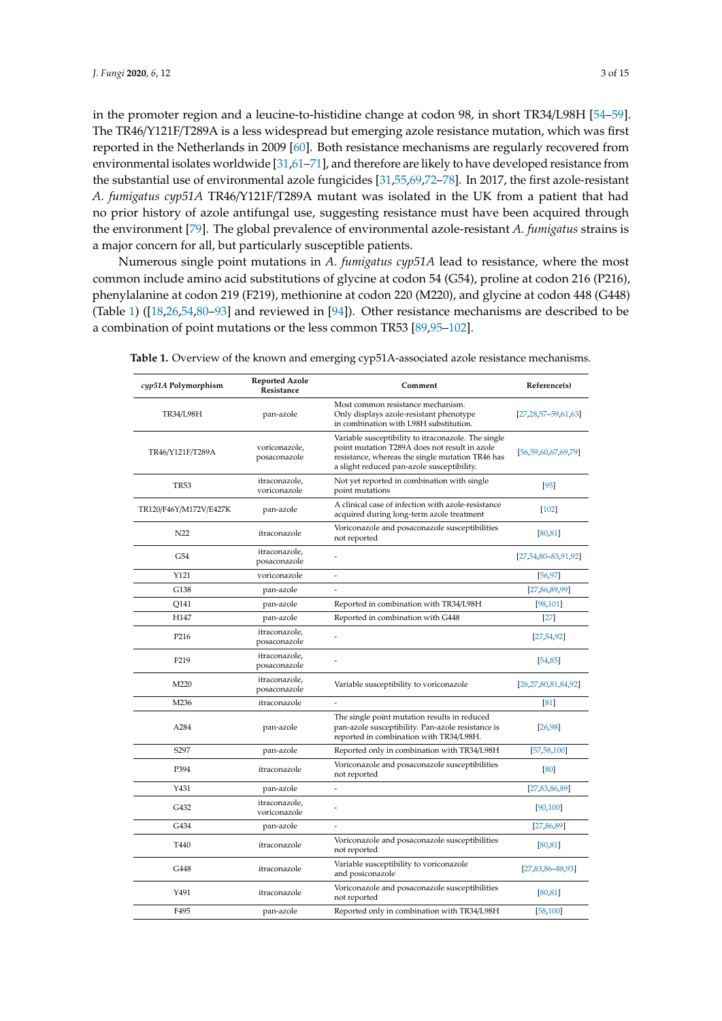in the promoter region and a leucine-to-histidine change at codon 98, in short TR34/L98H [\[54–](#page-9-7)[59\]](#page-10-0). The TR46/Y121F/T289A is a less widespread but emerging azole resistance mutation, which was first reported in the Netherlands in 2009 [\[60\]](#page-10-1). Both resistance mechanisms are regularly recovered from environmental isolates worldwide [\[31](#page-8-10)[,61–](#page-10-2)[71\]](#page-10-3), and therefore are likely to have developed resistance from the substantial use of environmental azole fungicides [\[31](#page-8-10)[,55](#page-9-8)[,69](#page-10-4)[,72](#page-10-5)[–78\]](#page-11-0). In 2017, the first azole-resistant *A. fumigatus cyp51A* TR46/Y121F/T289A mutant was isolated in the UK from a patient that had no prior history of azole antifungal use, suggesting resistance must have been acquired through the environment [\[79\]](#page-11-1). The global prevalence of environmental azole-resistant *A. fumigatus* strains is a major concern for all, but particularly susceptible patients.

Numerous single point mutations in *A. fumigatus cyp51A* lead to resistance, where the most common include amino acid substitutions of glycine at codon 54 (G54), proline at codon 216 (P216), phenylalanine at codon 219 (F219), methionine at codon 220 (M220), and glycine at codon 448 (G448) (Table [1\)](#page-2-0) ([\[18,](#page-7-12)[26,](#page-8-7)[54,](#page-9-7)[80](#page-11-2)[–93\]](#page-12-0) and reviewed in [\[94\]](#page-12-1)). Other resistance mechanisms are described to be a combination of point mutations or the less common TR53 [\[89](#page-11-3)[,95–](#page-12-2)[102\]](#page-12-3).

| cyp51A Polymorphism    | <b>Reported Azole</b><br>Resistance | Comment                                                                                                                                                                                                | Reference(s)                |
|------------------------|-------------------------------------|--------------------------------------------------------------------------------------------------------------------------------------------------------------------------------------------------------|-----------------------------|
| <b>TR34/L98H</b>       | pan-azole                           | Most common resistance mechanism.<br>Only displays azole-resistant phenotype<br>in combination with L98H substitution.                                                                                 | $[27, 28, 57 - 59, 61, 63]$ |
| TR46/Y121F/T289A       | voriconazole,<br>posaconazole       | Variable susceptibility to itraconazole. The single<br>point mutation T289A does not result in azole<br>resistance, whereas the single mutation TR46 has<br>a slight reduced pan-azole susceptibility. | [56, 59, 60, 67, 69, 79]    |
| <b>TR53</b>            | itraconazole,<br>voriconazole       | Not yet reported in combination with single<br>point mutations                                                                                                                                         | $[95]$                      |
| TR120/F46Y/M172V/E427K | pan-azole                           | A clinical case of infection with azole-resistance<br>acquired during long-term azole treatment                                                                                                        | $[102]$                     |
| N <sub>22</sub>        | itraconazole                        | Voriconazole and posaconazole susceptibilities<br>not reported                                                                                                                                         | [80, 81]                    |
| G54                    | itraconazole,<br>posaconazole       |                                                                                                                                                                                                        | $[27,54,80-83,91,92]$       |
| Y121                   | voriconazole                        | ÷,                                                                                                                                                                                                     | [56, 97]                    |
| G138                   | pan-azole                           |                                                                                                                                                                                                        | [27, 86, 89, 99]            |
| Q141                   | pan-azole                           | Reported in combination with TR34/L98H                                                                                                                                                                 | [98, 101]                   |
| H147                   | pan-azole                           | Reported in combination with G448                                                                                                                                                                      | $[27]$                      |
| P216                   | itraconazole,<br>posaconazole       |                                                                                                                                                                                                        | [27, 54, 92]                |
| F219                   | itraconazole,<br>posaconazole       |                                                                                                                                                                                                        | [54, 85]                    |
| M220                   | itraconazole,<br>posaconazole       | Variable susceptibility to voriconazole                                                                                                                                                                | [26,27,80,81,84,92]         |
| M236                   | itraconazole                        |                                                                                                                                                                                                        | [81]                        |
| A284                   | pan-azole                           | The single point mutation results in reduced<br>pan-azole susceptibility. Pan-azole resistance is<br>reported in combination with TR34/L98H.                                                           | [26, 98]                    |
| S297                   | pan-azole                           | Reported only in combination with TR34/L98H                                                                                                                                                            | [57, 58, 100]               |
| P394                   | itraconazole                        | Voriconazole and posaconazole susceptibilities<br>not reported                                                                                                                                         | [80]                        |
| Y431                   | pan-azole                           |                                                                                                                                                                                                        | [27, 83, 86, 89]            |
| G432                   | itraconazole,<br>voriconazole       |                                                                                                                                                                                                        | [90, 100]                   |
| G434                   | pan-azole                           | ÷,                                                                                                                                                                                                     | [27, 86, 89]                |
| T440                   | itraconazole                        | Voriconazole and posaconazole susceptibilities<br>not reported                                                                                                                                         | [80, 81]                    |
| G448                   | itraconazole                        | Variable susceptibility to voriconazole<br>and posiconazole                                                                                                                                            | $[27, 83, 86 - 88, 93]$     |
| Y491                   | itraconazole                        | Voriconazole and posaconazole susceptibilities<br>not reported                                                                                                                                         | [80, 81]                    |
| F495                   | pan-azole                           | Reported only in combination with TR34/L98H                                                                                                                                                            | [58, 100]                   |

<span id="page-2-0"></span>**Table 1.** Overview of the known and emerging cyp51A-associated azole resistance mechanisms.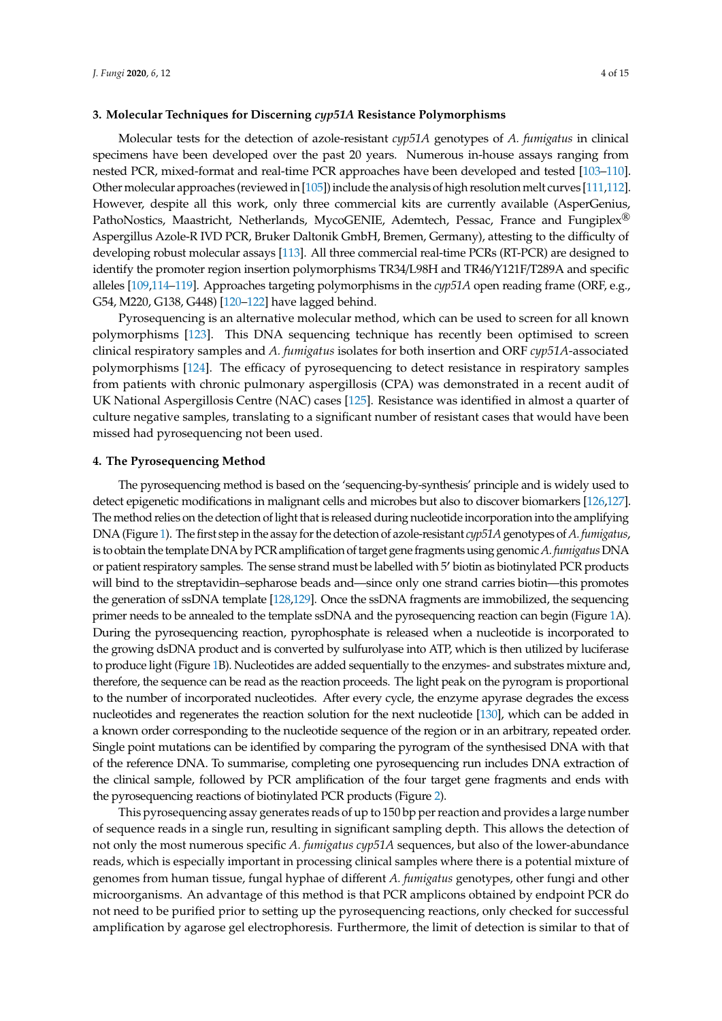#### **3. Molecular Techniques for Discerning** *cyp51A* **Resistance Polymorphisms**

Molecular tests for the detection of azole-resistant *cyp51A* genotypes of *A. fumigatus* in clinical specimens have been developed over the past 20 years. Numerous in-house assays ranging from nested PCR, mixed-format and real-time PCR approaches have been developed and tested [\[103](#page-12-9)[–110\]](#page-12-10). Other molecular approaches (reviewed in [\[105\]](#page-12-11)) include the analysis of high resolution melt curves [\[111,](#page-13-0)[112\]](#page-13-1). However, despite all this work, only three commercial kits are currently available (AsperGenius, PathoNostics, Maastricht, Netherlands, MycoGENIE, Ademtech, Pessac, France and Fungiplex® Aspergillus Azole-R IVD PCR, Bruker Daltonik GmbH, Bremen, Germany), attesting to the difficulty of developing robust molecular assays [\[113\]](#page-13-2). All three commercial real-time PCRs (RT-PCR) are designed to identify the promoter region insertion polymorphisms TR34/L98H and TR46/Y121F/T289A and specific alleles [\[109](#page-12-12)[,114](#page-13-3)[–119\]](#page-13-4). Approaches targeting polymorphisms in the *cyp51A* open reading frame (ORF, e.g., G54, M220, G138, G448) [\[120–](#page-13-5)[122\]](#page-13-6) have lagged behind.

Pyrosequencing is an alternative molecular method, which can be used to screen for all known polymorphisms [\[123\]](#page-13-7). This DNA sequencing technique has recently been optimised to screen clinical respiratory samples and *A. fumigatus* isolates for both insertion and ORF *cyp51A*-associated polymorphisms [\[124\]](#page-13-8). The efficacy of pyrosequencing to detect resistance in respiratory samples from patients with chronic pulmonary aspergillosis (CPA) was demonstrated in a recent audit of UK National Aspergillosis Centre (NAC) cases [\[125\]](#page-13-9). Resistance was identified in almost a quarter of culture negative samples, translating to a significant number of resistant cases that would have been missed had pyrosequencing not been used.

#### **4. The Pyrosequencing Method**

The pyrosequencing method is based on the 'sequencing-by-synthesis' principle and is widely used to detect epigenetic modifications in malignant cells and microbes but also to discover biomarkers [\[126,](#page-13-10)[127\]](#page-13-11). The method relies on the detection of light that is released during nucleotide incorporation into the amplifying DNA (Figure [1\)](#page-4-0). The first step in the assay for the detection of azole-resistant *cyp51A* genotypes of *A. fumigatus*, is to obtain the template DNA by PCR amplification of target gene fragments using genomic*A. fumigatus*DNA or patient respiratory samples. The sense strand must be labelled with 5' biotin as biotinylated PCR products will bind to the streptavidin–sepharose beads and—since only one strand carries biotin—this promotes the generation of ssDNA template [\[128,](#page-14-0)[129\]](#page-14-1). Once the ssDNA fragments are immobilized, the sequencing primer needs to be annealed to the template ssDNA and the pyrosequencing reaction can begin (Figure [1A](#page-4-0)). During the pyrosequencing reaction, pyrophosphate is released when a nucleotide is incorporated to the growing dsDNA product and is converted by sulfurolyase into ATP, which is then utilized by luciferase to produce light (Figure [1B](#page-4-0)). Nucleotides are added sequentially to the enzymes- and substrates mixture and, therefore, the sequence can be read as the reaction proceeds. The light peak on the pyrogram is proportional to the number of incorporated nucleotides. After every cycle, the enzyme apyrase degrades the excess nucleotides and regenerates the reaction solution for the next nucleotide [\[130\]](#page-14-2), which can be added in a known order corresponding to the nucleotide sequence of the region or in an arbitrary, repeated order. Single point mutations can be identified by comparing the pyrogram of the synthesised DNA with that of the reference DNA. To summarise, completing one pyrosequencing run includes DNA extraction of the clinical sample, followed by PCR amplification of the four target gene fragments and ends with the pyrosequencing reactions of biotinylated PCR products (Figure [2\)](#page-5-0).

This pyrosequencing assay generates reads of up to 150 bp per reaction and provides a large number of sequence reads in a single run, resulting in significant sampling depth. This allows the detection of not only the most numerous specific *A. fumigatus cyp51A* sequences, but also of the lower-abundance reads, which is especially important in processing clinical samples where there is a potential mixture of genomes from human tissue, fungal hyphae of different *A. fumigatus* genotypes, other fungi and other microorganisms. An advantage of this method is that PCR amplicons obtained by endpoint PCR do not need to be purified prior to setting up the pyrosequencing reactions, only checked for successful amplification by agarose gel electrophoresis. Furthermore, the limit of detection is similar to that of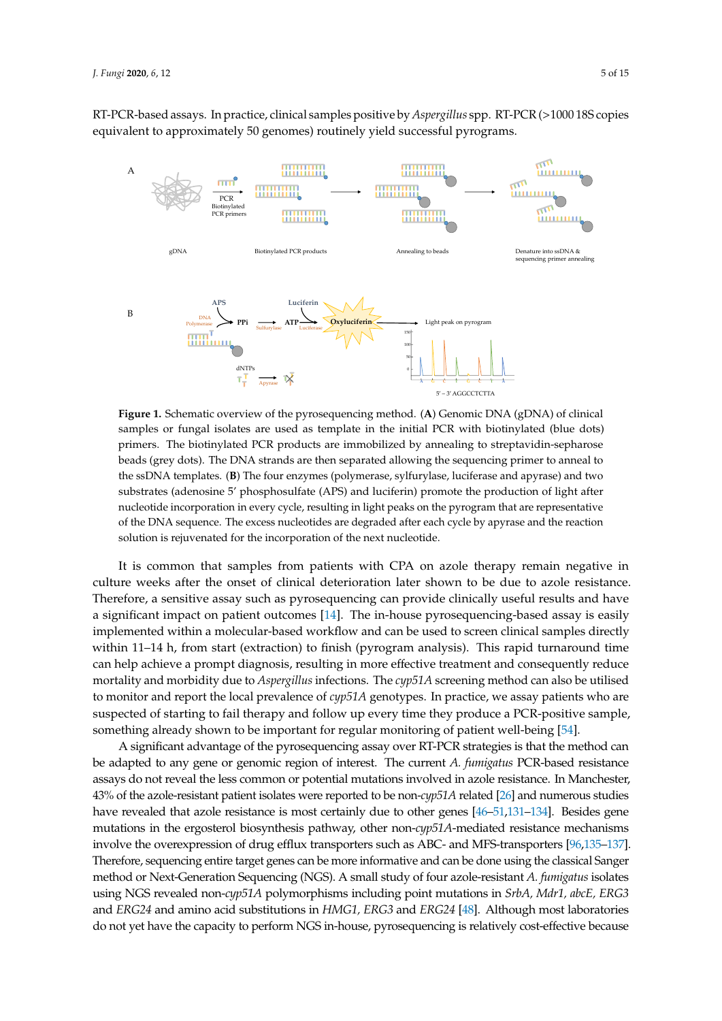RT-PCR-based assays. In practice, clinical samples positive by *Aspergillus* spp. RT-PCR (>1000 18S copies equivalent to approximately 50 genomes) routinely yield successful pyrograms.

<span id="page-4-0"></span>

**Figure 1.** Schematic overview of the pyrosequencing method. (**A**) Genomic DNA (gDNA) of clinical samples or fungal isolates are used as template in the initial PCR with biotinylated (blue dots) primers. The biotinylated PCR products are immobilized by annealing to streptavidin-sepharose beads (grey dots). The DNA strands are then separated allowing the sequencing primer to anneal to the ssDNA templates. (**B**) The four enzymes (polymerase, sylfurylase, luciferase and apyrase) and two substrates (adenosine 5' phosphosulfate (APS) and luciferin) promote the production of light after nucleotide incorporation in every cycle, resulting in light peaks on the pyrogram that are representative of the DNA sequence. The excess nucleotides are degraded after each cycle by apyrase and the reaction solution is rejuvenated for the incorporation of the next nucleotide.

It is common that samples from patients with CPA on azole therapy remain negative in culture weeks after the onset of clinical deterioration later shown to be due to azole resistance. Therefore, a sensitive assay such as pyrosequencing can provide clinically useful results and have a significant impact on patient outcomes [\[14\]](#page-7-6). The in-house pyrosequencing-based assay is easily implemented within a molecular-based workflow and can be used to screen clinical samples directly within 11–14 h, from start (extraction) to finish (pyrogram analysis). This rapid turnaround time can help achieve a prompt diagnosis, resulting in more effective treatment and consequently reduce mortality and morbidity due to *Aspergillus* infections. The *cyp51A* screening method can also be utilised to monitor and report the local prevalence of *cyp51A* genotypes. In practice, we assay patients who are suspected of starting to fail therapy and follow up every time they produce a PCR-positive sample, something already shown to be important for regular monitoring of patient well-being [\[54\]](#page-9-7).

A significant advantage of the pyrosequencing assay over RT-PCR strategies is that the method can be adapted to any gene or genomic region of interest. The current *A. fumigatus* PCR-based resistance assays do not reveal the less common or potential mutations involved in azole resistance. In Manchester, 43% of the azole-resistant patient isolates were reported to be non-*cyp51A* related [\[26\]](#page-8-7) and numerous studies have revealed that azole resistance is most certainly due to other genes [\[46–](#page-9-3)[51,](#page-9-4)[131–](#page-14-3)[134\]](#page-14-4). Besides gene mutations in the ergosterol biosynthesis pathway, other non-*cyp51A*-mediated resistance mechanisms involve the overexpression of drug efflux transporters such as ABC- and MFS-transporters [\[96](#page-12-13)[,135–](#page-14-5)[137\]](#page-14-6). Therefore, sequencing entire target genes can be more informative and can be done using the classical Sanger method or Next-Generation Sequencing (NGS). A small study of four azole-resistant *A. fumigatus* isolates using NGS revealed non-*cyp51A* polymorphisms including point mutations in *SrbA, Mdr1, abcE, ERG3* and *ERG24* and amino acid substitutions in *HMG1, ERG3* and *ERG24* [\[48\]](#page-9-12). Although most laboratories do not yet have the capacity to perform NGS in-house, pyrosequencing is relatively cost-effective because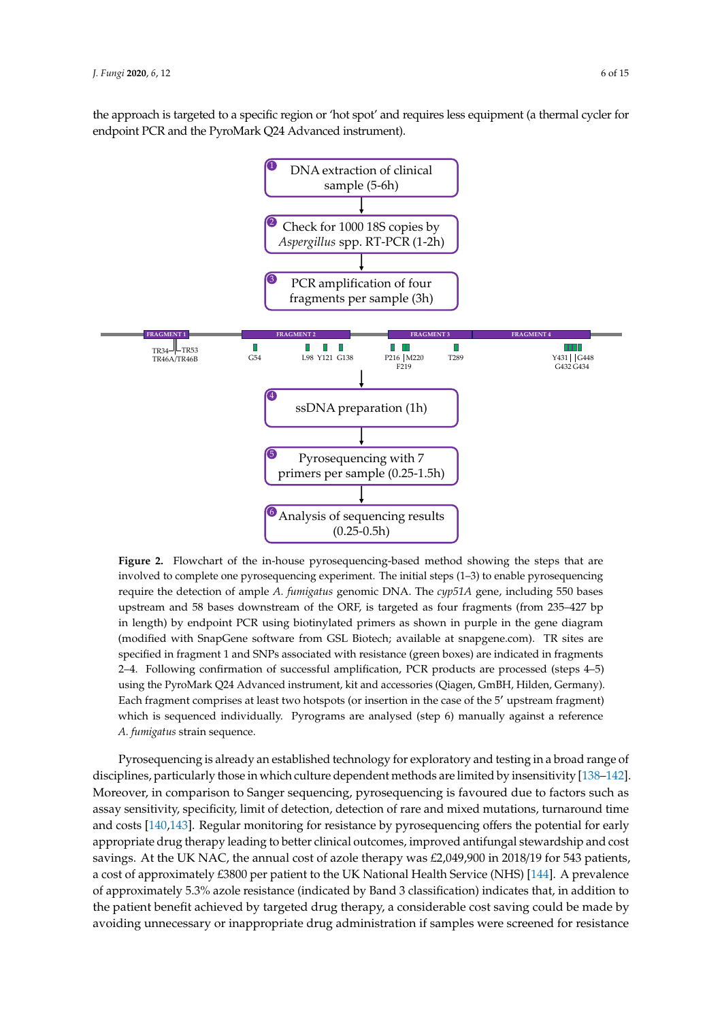the approach is targeted to a specific region or 'hot spot' and requires less equipment (a thermal cycler for endpoint PCR and the PyroMark Q24 Advanced instrument).

<span id="page-5-0"></span>

**Figure 2.** Flowchart of the in-house pyrosequencing-based method showing the steps that are involved to complete one pyrosequencing experiment. The initial steps (1–3) to enable pyrosequencing require the detection of ample *A. fumigatus* genomic DNA. The *cyp51A* gene, including 550 bases upstream and 58 bases downstream of the ORF, is targeted as four fragments (from 235–427 bp in length) by endpoint PCR using biotinylated primers as shown in purple in the gene diagram (modified with SnapGene software from GSL Biotech; available at snapgene.com). TR sites are specified in fragment 1 and SNPs associated with resistance (green boxes) are indicated in fragments 2–4. Following confirmation of successful amplification, PCR products are processed (steps 4–5) using the PyroMark Q24 Advanced instrument, kit and accessories (Qiagen, GmBH, Hilden, Germany). Each fragment comprises at least two hotspots (or insertion in the case of the 5' upstream fragment) which is sequenced individually. Pyrograms are analysed (step 6) manually against a reference *A. fumigatus* strain sequence.

Pyrosequencing is already an established technology for exploratory and testing in a broad range of disciplines, particularly those in which culture dependent methods are limited by insensitivity [\[138–](#page-14-7)[142\]](#page-14-8). Moreover, in comparison to Sanger sequencing, pyrosequencing is favoured due to factors such as assay sensitivity, specificity, limit of detection, detection of rare and mixed mutations, turnaround time and costs [\[140,](#page-14-9)[143\]](#page-14-10). Regular monitoring for resistance by pyrosequencing offers the potential for early appropriate drug therapy leading to better clinical outcomes, improved antifungal stewardship and cost savings. At the UK NAC, the annual cost of azole therapy was £2,049,900 in 2018/19 for 543 patients, a cost of approximately £3800 per patient to the UK National Health Service (NHS) [\[144\]](#page-14-11). A prevalence of approximately 5.3% azole resistance (indicated by Band 3 classification) indicates that, in addition to the patient benefit achieved by targeted drug therapy, a considerable cost saving could be made by avoiding unnecessary or inappropriate drug administration if samples were screened for resistance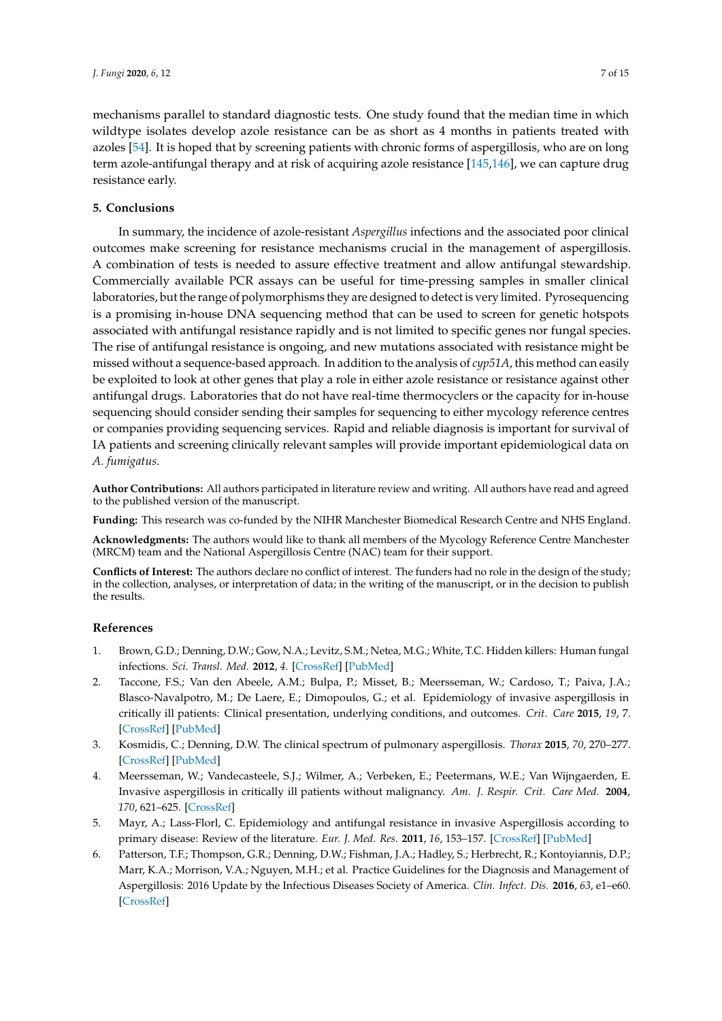mechanisms parallel to standard diagnostic tests. One study found that the median time in which wildtype isolates develop azole resistance can be as short as 4 months in patients treated with azoles [\[54\]](#page-9-7). It is hoped that by screening patients with chronic forms of aspergillosis, who are on long term azole-antifungal therapy and at risk of acquiring azole resistance [\[145,](#page-14-12)[146\]](#page-14-13), we can capture drug resistance early.

# **5. Conclusions**

In summary, the incidence of azole-resistant *Aspergillus* infections and the associated poor clinical outcomes make screening for resistance mechanisms crucial in the management of aspergillosis. A combination of tests is needed to assure effective treatment and allow antifungal stewardship. Commercially available PCR assays can be useful for time-pressing samples in smaller clinical laboratories, but the range of polymorphisms they are designed to detect is very limited. Pyrosequencing is a promising in-house DNA sequencing method that can be used to screen for genetic hotspots associated with antifungal resistance rapidly and is not limited to specific genes nor fungal species. The rise of antifungal resistance is ongoing, and new mutations associated with resistance might be missed without a sequence-based approach. In addition to the analysis of *cyp51A*, this method can easily be exploited to look at other genes that play a role in either azole resistance or resistance against other antifungal drugs. Laboratories that do not have real-time thermocyclers or the capacity for in-house sequencing should consider sending their samples for sequencing to either mycology reference centres or companies providing sequencing services. Rapid and reliable diagnosis is important for survival of IA patients and screening clinically relevant samples will provide important epidemiological data on *A. fumigatus*.

**Author Contributions:** All authors participated in literature review and writing. All authors have read and agreed to the published version of the manuscript.

**Funding:** This research was co-funded by the NIHR Manchester Biomedical Research Centre and NHS England.

**Acknowledgments:** The authors would like to thank all members of the Mycology Reference Centre Manchester (MRCM) team and the National Aspergillosis Centre (NAC) team for their support.

**Conflicts of Interest:** The authors declare no conflict of interest. The funders had no role in the design of the study; in the collection, analyses, or interpretation of data; in the writing of the manuscript, or in the decision to publish the results.

# **References**

- <span id="page-6-0"></span>1. Brown, G.D.; Denning, D.W.; Gow, N.A.; Levitz, S.M.; Netea, M.G.; White, T.C. Hidden killers: Human fungal infections. *Sci. Transl. Med.* **2012**, *4*. [\[CrossRef\]](http://dx.doi.org/10.1126/scitranslmed.3004404) [\[PubMed\]](http://www.ncbi.nlm.nih.gov/pubmed/23253612)
- 2. Taccone, F.S.; Van den Abeele, A.M.; Bulpa, P.; Misset, B.; Meersseman, W.; Cardoso, T.; Paiva, J.A.; Blasco-Navalpotro, M.; De Laere, E.; Dimopoulos, G.; et al. Epidemiology of invasive aspergillosis in critically ill patients: Clinical presentation, underlying conditions, and outcomes. *Crit. Care* **2015**, *19*, 7. [\[CrossRef\]](http://dx.doi.org/10.1186/s13054-014-0722-7) [\[PubMed\]](http://www.ncbi.nlm.nih.gov/pubmed/25928694)
- 3. Kosmidis, C.; Denning, D.W. The clinical spectrum of pulmonary aspergillosis. *Thorax* **2015**, *70*, 270–277. [\[CrossRef\]](http://dx.doi.org/10.1136/thoraxjnl-2014-206291) [\[PubMed\]](http://www.ncbi.nlm.nih.gov/pubmed/25354514)
- 4. Meersseman, W.; Vandecasteele, S.J.; Wilmer, A.; Verbeken, E.; Peetermans, W.E.; Van Wijngaerden, E. Invasive aspergillosis in critically ill patients without malignancy. *Am. J. Respir. Crit. Care Med.* **2004**, *170*, 621–625. [\[CrossRef\]](http://dx.doi.org/10.1164/rccm.200401-093OC)
- <span id="page-6-1"></span>5. Mayr, A.; Lass-Florl, C. Epidemiology and antifungal resistance in invasive Aspergillosis according to primary disease: Review of the literature. *Eur. J. Med. Res.* **2011**, *16*, 153–157. [\[CrossRef\]](http://dx.doi.org/10.1186/2047-783X-16-4-153) [\[PubMed\]](http://www.ncbi.nlm.nih.gov/pubmed/21486729)
- <span id="page-6-2"></span>6. Patterson, T.F.; Thompson, G.R.; Denning, D.W.; Fishman, J.A.; Hadley, S.; Herbrecht, R.; Kontoyiannis, D.P.; Marr, K.A.; Morrison, V.A.; Nguyen, M.H.; et al. Practice Guidelines for the Diagnosis and Management of Aspergillosis: 2016 Update by the Infectious Diseases Society of America. *Clin. Infect. Dis.* **2016**, *63*, e1–e60. [\[CrossRef\]](http://dx.doi.org/10.1093/cid/ciw326)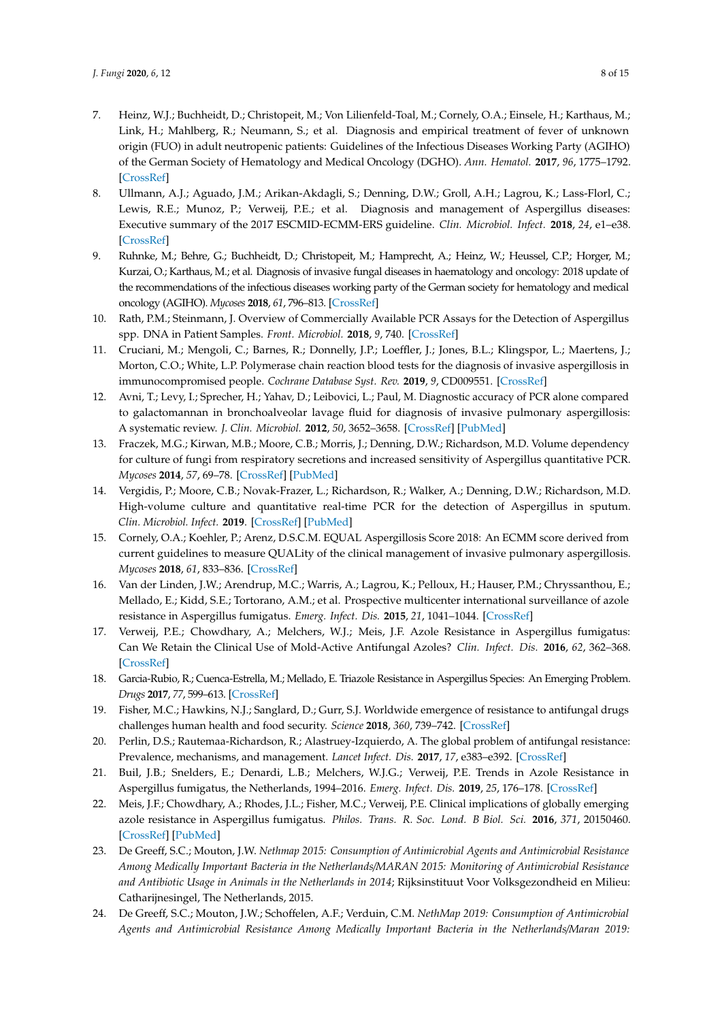- 7. Heinz, W.J.; Buchheidt, D.; Christopeit, M.; Von Lilienfeld-Toal, M.; Cornely, O.A.; Einsele, H.; Karthaus, M.; Link, H.; Mahlberg, R.; Neumann, S.; et al. Diagnosis and empirical treatment of fever of unknown origin (FUO) in adult neutropenic patients: Guidelines of the Infectious Diseases Working Party (AGIHO) of the German Society of Hematology and Medical Oncology (DGHO). *Ann. Hematol.* **2017**, *96*, 1775–1792. [\[CrossRef\]](http://dx.doi.org/10.1007/s00277-017-3098-3)
- <span id="page-7-3"></span>8. Ullmann, A.J.; Aguado, J.M.; Arikan-Akdagli, S.; Denning, D.W.; Groll, A.H.; Lagrou, K.; Lass-Florl, C.; Lewis, R.E.; Munoz, P.; Verweij, P.E.; et al. Diagnosis and management of Aspergillus diseases: Executive summary of the 2017 ESCMID-ECMM-ERS guideline. *Clin. Microbiol. Infect.* **2018**, *24*, e1–e38. [\[CrossRef\]](http://dx.doi.org/10.1016/j.cmi.2018.01.002)
- <span id="page-7-0"></span>9. Ruhnke, M.; Behre, G.; Buchheidt, D.; Christopeit, M.; Hamprecht, A.; Heinz, W.; Heussel, C.P.; Horger, M.; Kurzai, O.; Karthaus, M.; et al. Diagnosis of invasive fungal diseases in haematology and oncology: 2018 update of the recommendations of the infectious diseases working party of the German society for hematology and medical oncology (AGIHO). *Mycoses* **2018**, *61*, 796–813. [\[CrossRef\]](http://dx.doi.org/10.1111/myc.12838)
- <span id="page-7-1"></span>10. Rath, P.M.; Steinmann, J. Overview of Commercially Available PCR Assays for the Detection of Aspergillus spp. DNA in Patient Samples. *Front. Microbiol.* **2018**, *9*, 740. [\[CrossRef\]](http://dx.doi.org/10.3389/fmicb.2018.00740)
- <span id="page-7-2"></span>11. Cruciani, M.; Mengoli, C.; Barnes, R.; Donnelly, J.P.; Loeffler, J.; Jones, B.L.; Klingspor, L.; Maertens, J.; Morton, C.O.; White, L.P. Polymerase chain reaction blood tests for the diagnosis of invasive aspergillosis in immunocompromised people. *Cochrane Database Syst. Rev.* **2019**, *9*, CD009551. [\[CrossRef\]](http://dx.doi.org/10.1002/14651858.CD009551.pub4)
- <span id="page-7-4"></span>12. Avni, T.; Levy, I.; Sprecher, H.; Yahav, D.; Leibovici, L.; Paul, M. Diagnostic accuracy of PCR alone compared to galactomannan in bronchoalveolar lavage fluid for diagnosis of invasive pulmonary aspergillosis: A systematic review. *J. Clin. Microbiol.* **2012**, *50*, 3652–3658. [\[CrossRef\]](http://dx.doi.org/10.1128/JCM.00942-12) [\[PubMed\]](http://www.ncbi.nlm.nih.gov/pubmed/22952268)
- <span id="page-7-5"></span>13. Fraczek, M.G.; Kirwan, M.B.; Moore, C.B.; Morris, J.; Denning, D.W.; Richardson, M.D. Volume dependency for culture of fungi from respiratory secretions and increased sensitivity of Aspergillus quantitative PCR. *Mycoses* **2014**, *57*, 69–78. [\[CrossRef\]](http://dx.doi.org/10.1111/myc.12103) [\[PubMed\]](http://www.ncbi.nlm.nih.gov/pubmed/23786547)
- <span id="page-7-6"></span>14. Vergidis, P.; Moore, C.B.; Novak-Frazer, L.; Richardson, R.; Walker, A.; Denning, D.W.; Richardson, M.D. High-volume culture and quantitative real-time PCR for the detection of Aspergillus in sputum. *Clin. Microbiol. Infect.* **2019**. [\[CrossRef\]](http://dx.doi.org/10.1016/j.cmi.2019.11.019) [\[PubMed\]](http://www.ncbi.nlm.nih.gov/pubmed/31811917)
- <span id="page-7-7"></span>15. Cornely, O.A.; Koehler, P.; Arenz, D.S.C.M. EQUAL Aspergillosis Score 2018: An ECMM score derived from current guidelines to measure QUALity of the clinical management of invasive pulmonary aspergillosis. *Mycoses* **2018**, *61*, 833–836. [\[CrossRef\]](http://dx.doi.org/10.1111/myc.12820)
- <span id="page-7-8"></span>16. Van der Linden, J.W.; Arendrup, M.C.; Warris, A.; Lagrou, K.; Pelloux, H.; Hauser, P.M.; Chryssanthou, E.; Mellado, E.; Kidd, S.E.; Tortorano, A.M.; et al. Prospective multicenter international surveillance of azole resistance in Aspergillus fumigatus. *Emerg. Infect. Dis.* **2015**, *21*, 1041–1044. [\[CrossRef\]](http://dx.doi.org/10.3201/eid2106.140717)
- 17. Verweij, P.E.; Chowdhary, A.; Melchers, W.J.; Meis, J.F. Azole Resistance in Aspergillus fumigatus: Can We Retain the Clinical Use of Mold-Active Antifungal Azoles? *Clin. Infect. Dis.* **2016**, *62*, 362–368. [\[CrossRef\]](http://dx.doi.org/10.1093/cid/civ885)
- <span id="page-7-12"></span>18. Garcia-Rubio, R.; Cuenca-Estrella, M.; Mellado, E. Triazole Resistance in Aspergillus Species: An Emerging Problem. *Drugs* **2017**, *77*, 599–613. [\[CrossRef\]](http://dx.doi.org/10.1007/s40265-017-0714-4)
- 19. Fisher, M.C.; Hawkins, N.J.; Sanglard, D.; Gurr, S.J. Worldwide emergence of resistance to antifungal drugs challenges human health and food security. *Science* **2018**, *360*, 739–742. [\[CrossRef\]](http://dx.doi.org/10.1126/science.aap7999)
- 20. Perlin, D.S.; Rautemaa-Richardson, R.; Alastruey-Izquierdo, A. The global problem of antifungal resistance: Prevalence, mechanisms, and management. *Lancet Infect. Dis.* **2017**, *17*, e383–e392. [\[CrossRef\]](http://dx.doi.org/10.1016/S1473-3099(17)30316-X)
- 21. Buil, J.B.; Snelders, E.; Denardi, L.B.; Melchers, W.J.G.; Verweij, P.E. Trends in Azole Resistance in Aspergillus fumigatus, the Netherlands, 1994–2016. *Emerg. Infect. Dis.* **2019**, *25*, 176–178. [\[CrossRef\]](http://dx.doi.org/10.3201/eid2501.171925)
- <span id="page-7-9"></span>22. Meis, J.F.; Chowdhary, A.; Rhodes, J.L.; Fisher, M.C.; Verweij, P.E. Clinical implications of globally emerging azole resistance in Aspergillus fumigatus. *Philos. Trans. R. Soc. Lond. B Biol. Sci.* **2016**, *371*, 20150460. [\[CrossRef\]](http://dx.doi.org/10.1098/rstb.2015.0460) [\[PubMed\]](http://www.ncbi.nlm.nih.gov/pubmed/28080986)
- <span id="page-7-10"></span>23. De Greeff, S.C.; Mouton, J.W. *Nethmap 2015: Consumption of Antimicrobial Agents and Antimicrobial Resistance Among Medically Important Bacteria in the Netherlands*/*MARAN 2015: Monitoring of Antimicrobial Resistance and Antibiotic Usage in Animals in the Netherlands in 2014*; Rijksinstituut Voor Volksgezondheid en Milieu: Catharijnesingel, The Netherlands, 2015.
- <span id="page-7-11"></span>24. De Greeff, S.C.; Mouton, J.W.; Schoffelen, A.F.; Verduin, C.M. *NethMap 2019: Consumption of Antimicrobial Agents and Antimicrobial Resistance Among Medically Important Bacteria in the Netherlands*/*Maran 2019:*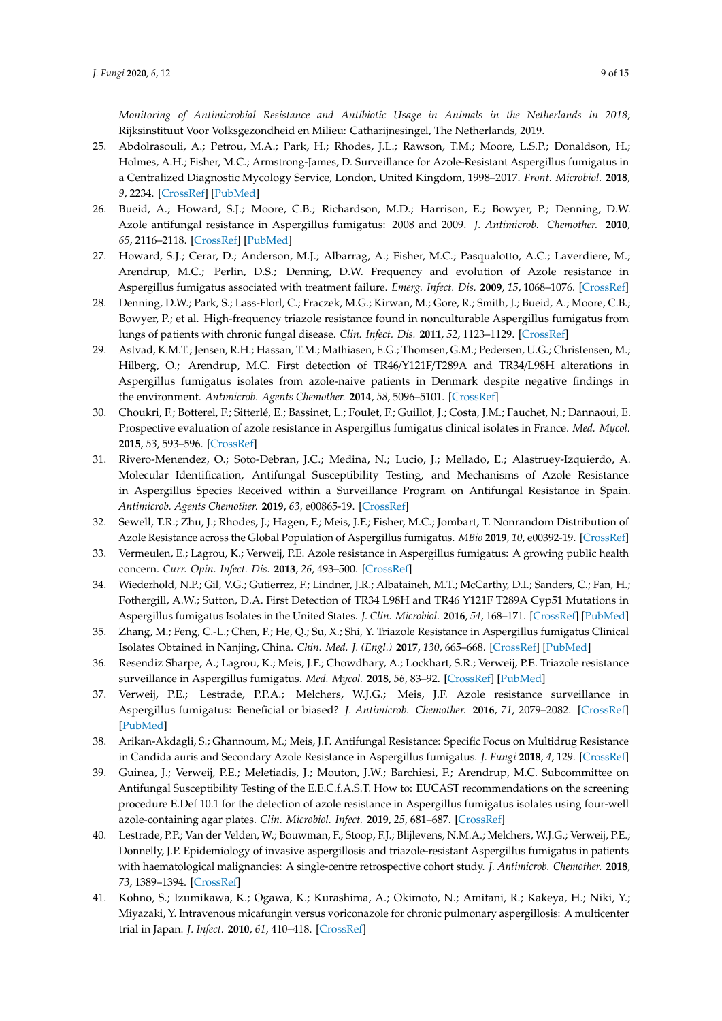*Monitoring of Antimicrobial Resistance and Antibiotic Usage in Animals in the Netherlands in 2018*; Rijksinstituut Voor Volksgezondheid en Milieu: Catharijnesingel, The Netherlands, 2019.

- <span id="page-8-0"></span>25. Abdolrasouli, A.; Petrou, M.A.; Park, H.; Rhodes, J.L.; Rawson, T.M.; Moore, L.S.P.; Donaldson, H.; Holmes, A.H.; Fisher, M.C.; Armstrong-James, D. Surveillance for Azole-Resistant Aspergillus fumigatus in a Centralized Diagnostic Mycology Service, London, United Kingdom, 1998–2017. *Front. Microbiol.* **2018**, *9*, 2234. [\[CrossRef\]](http://dx.doi.org/10.3389/fmicb.2018.02234) [\[PubMed\]](http://www.ncbi.nlm.nih.gov/pubmed/30294314)
- <span id="page-8-7"></span>26. Bueid, A.; Howard, S.J.; Moore, C.B.; Richardson, M.D.; Harrison, E.; Bowyer, P.; Denning, D.W. Azole antifungal resistance in Aspergillus fumigatus: 2008 and 2009. *J. Antimicrob. Chemother.* **2010**, *65*, 2116–2118. [\[CrossRef\]](http://dx.doi.org/10.1093/jac/dkq279) [\[PubMed\]](http://www.ncbi.nlm.nih.gov/pubmed/20729241)
- <span id="page-8-8"></span>27. Howard, S.J.; Cerar, D.; Anderson, M.J.; Albarrag, A.; Fisher, M.C.; Pasqualotto, A.C.; Laverdiere, M.; Arendrup, M.C.; Perlin, D.S.; Denning, D.W. Frequency and evolution of Azole resistance in Aspergillus fumigatus associated with treatment failure. *Emerg. Infect. Dis.* **2009**, *15*, 1068–1076. [\[CrossRef\]](http://dx.doi.org/10.3201/eid1507.090043)
- <span id="page-8-9"></span>28. Denning, D.W.; Park, S.; Lass-Florl, C.; Fraczek, M.G.; Kirwan, M.; Gore, R.; Smith, J.; Bueid, A.; Moore, C.B.; Bowyer, P.; et al. High-frequency triazole resistance found in nonculturable Aspergillus fumigatus from lungs of patients with chronic fungal disease. *Clin. Infect. Dis.* **2011**, *52*, 1123–1129. [\[CrossRef\]](http://dx.doi.org/10.1093/cid/cir179)
- 29. Astvad, K.M.T.; Jensen, R.H.; Hassan, T.M.; Mathiasen, E.G.; Thomsen, G.M.; Pedersen, U.G.; Christensen, M.; Hilberg, O.; Arendrup, M.C. First detection of TR46/Y121F/T289A and TR34/L98H alterations in Aspergillus fumigatus isolates from azole-naive patients in Denmark despite negative findings in the environment. *Antimicrob. Agents Chemother.* **2014**, *58*, 5096–5101. [\[CrossRef\]](http://dx.doi.org/10.1128/AAC.02855-14)
- 30. Choukri, F.; Botterel, F.; Sitterlé, E.; Bassinet, L.; Foulet, F.; Guillot, J.; Costa, J.M.; Fauchet, N.; Dannaoui, E. Prospective evaluation of azole resistance in Aspergillus fumigatus clinical isolates in France. *Med. Mycol.* **2015**, *53*, 593–596. [\[CrossRef\]](http://dx.doi.org/10.1093/mmy/myv029)
- <span id="page-8-10"></span>31. Rivero-Menendez, O.; Soto-Debran, J.C.; Medina, N.; Lucio, J.; Mellado, E.; Alastruey-Izquierdo, A. Molecular Identification, Antifungal Susceptibility Testing, and Mechanisms of Azole Resistance in Aspergillus Species Received within a Surveillance Program on Antifungal Resistance in Spain. *Antimicrob. Agents Chemother.* **2019**, *63*, e00865-19. [\[CrossRef\]](http://dx.doi.org/10.1128/AAC.00865-19)
- 32. Sewell, T.R.; Zhu, J.; Rhodes, J.; Hagen, F.; Meis, J.F.; Fisher, M.C.; Jombart, T. Nonrandom Distribution of Azole Resistance across the Global Population of Aspergillus fumigatus. *MBio* **2019**, *10*, e00392-19. [\[CrossRef\]](http://dx.doi.org/10.1128/mBio.00392-19)
- 33. Vermeulen, E.; Lagrou, K.; Verweij, P.E. Azole resistance in Aspergillus fumigatus: A growing public health concern. *Curr. Opin. Infect. Dis.* **2013**, *26*, 493–500. [\[CrossRef\]](http://dx.doi.org/10.1097/QCO.0000000000000005)
- 34. Wiederhold, N.P.; Gil, V.G.; Gutierrez, F.; Lindner, J.R.; Albataineh, M.T.; McCarthy, D.I.; Sanders, C.; Fan, H.; Fothergill, A.W.; Sutton, D.A. First Detection of TR34 L98H and TR46 Y121F T289A Cyp51 Mutations in Aspergillus fumigatus Isolates in the United States. *J. Clin. Microbiol.* **2016**, *54*, 168–171. [\[CrossRef\]](http://dx.doi.org/10.1128/JCM.02478-15) [\[PubMed\]](http://www.ncbi.nlm.nih.gov/pubmed/26491179)
- <span id="page-8-1"></span>35. Zhang, M.; Feng, C.-L.; Chen, F.; He, Q.; Su, X.; Shi, Y. Triazole Resistance in Aspergillus fumigatus Clinical Isolates Obtained in Nanjing, China. *Chin. Med. J. (Engl.)* **2017**, *130*, 665–668. [\[CrossRef\]](http://dx.doi.org/10.4103/0366-6999.201609) [\[PubMed\]](http://www.ncbi.nlm.nih.gov/pubmed/28303848)
- <span id="page-8-2"></span>36. Resendiz Sharpe, A.; Lagrou, K.; Meis, J.F.; Chowdhary, A.; Lockhart, S.R.; Verweij, P.E. Triazole resistance surveillance in Aspergillus fumigatus. *Med. Mycol.* **2018**, *56*, 83–92. [\[CrossRef\]](http://dx.doi.org/10.1093/mmy/myx144) [\[PubMed\]](http://www.ncbi.nlm.nih.gov/pubmed/29538741)
- <span id="page-8-3"></span>37. Verweij, P.E.; Lestrade, P.P.A.; Melchers, W.J.G.; Meis, J.F. Azole resistance surveillance in Aspergillus fumigatus: Beneficial or biased? *J. Antimicrob. Chemother.* **2016**, *71*, 2079–2082. [\[CrossRef\]](http://dx.doi.org/10.1093/jac/dkw259) [\[PubMed\]](http://www.ncbi.nlm.nih.gov/pubmed/27494831)
- <span id="page-8-4"></span>38. Arikan-Akdagli, S.; Ghannoum, M.; Meis, J.F. Antifungal Resistance: Specific Focus on Multidrug Resistance in Candida auris and Secondary Azole Resistance in Aspergillus fumigatus. *J. Fungi* **2018**, *4*, 129. [\[CrossRef\]](http://dx.doi.org/10.3390/jof4040129)
- <span id="page-8-5"></span>39. Guinea, J.; Verweij, P.E.; Meletiadis, J.; Mouton, J.W.; Barchiesi, F.; Arendrup, M.C. Subcommittee on Antifungal Susceptibility Testing of the E.E.C.f.A.S.T. How to: EUCAST recommendations on the screening procedure E.Def 10.1 for the detection of azole resistance in Aspergillus fumigatus isolates using four-well azole-containing agar plates. *Clin. Microbiol. Infect.* **2019**, *25*, 681–687. [\[CrossRef\]](http://dx.doi.org/10.1016/j.cmi.2018.09.008)
- <span id="page-8-6"></span>40. Lestrade, P.P.; Van der Velden, W.; Bouwman, F.; Stoop, F.J.; Blijlevens, N.M.A.; Melchers, W.J.G.; Verweij, P.E.; Donnelly, J.P. Epidemiology of invasive aspergillosis and triazole-resistant Aspergillus fumigatus in patients with haematological malignancies: A single-centre retrospective cohort study. *J. Antimicrob. Chemother.* **2018**, *73*, 1389–1394. [\[CrossRef\]](http://dx.doi.org/10.1093/jac/dkx527)
- 41. Kohno, S.; Izumikawa, K.; Ogawa, K.; Kurashima, A.; Okimoto, N.; Amitani, R.; Kakeya, H.; Niki, Y.; Miyazaki, Y. Intravenous micafungin versus voriconazole for chronic pulmonary aspergillosis: A multicenter trial in Japan. *J. Infect.* **2010**, *61*, 410–418. [\[CrossRef\]](http://dx.doi.org/10.1016/j.jinf.2010.08.005)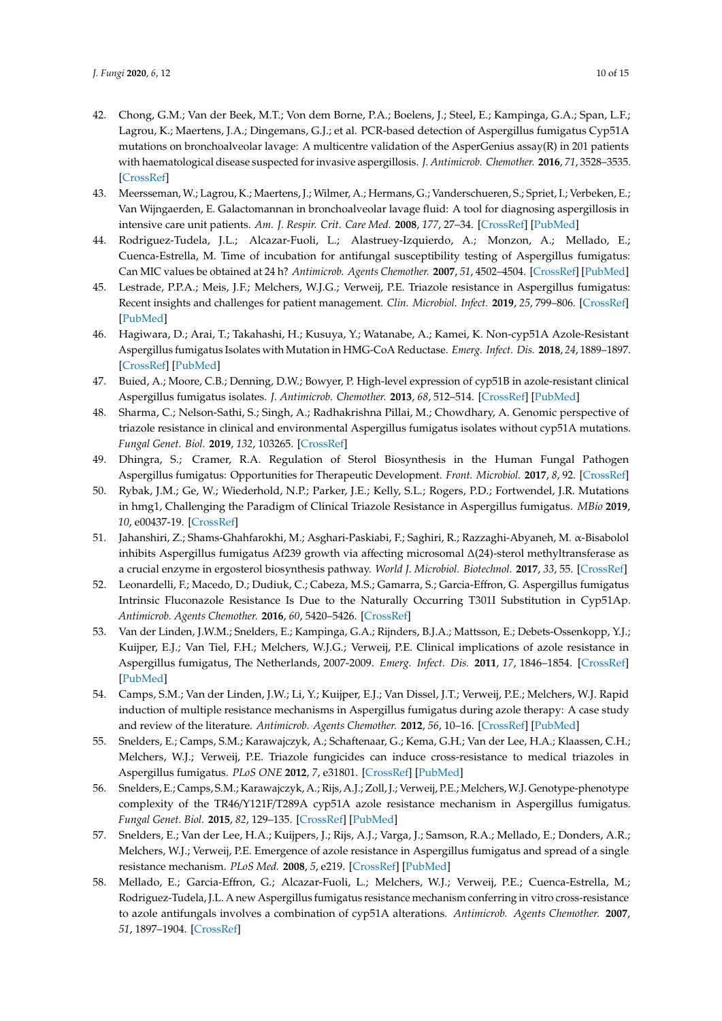- 42. Chong, G.M.; Van der Beek, M.T.; Von dem Borne, P.A.; Boelens, J.; Steel, E.; Kampinga, G.A.; Span, L.F.; Lagrou, K.; Maertens, J.A.; Dingemans, G.J.; et al. PCR-based detection of Aspergillus fumigatus Cyp51A mutations on bronchoalveolar lavage: A multicentre validation of the AsperGenius assay(R) in 201 patients with haematological disease suspected for invasive aspergillosis. *J. Antimicrob. Chemother.* **2016**, *71*, 3528–3535. [\[CrossRef\]](http://dx.doi.org/10.1093/jac/dkw323)
- <span id="page-9-0"></span>43. Meersseman, W.; Lagrou, K.; Maertens, J.; Wilmer, A.; Hermans, G.; Vanderschueren, S.; Spriet, I.; Verbeken, E.; Van Wijngaerden, E. Galactomannan in bronchoalveolar lavage fluid: A tool for diagnosing aspergillosis in intensive care unit patients. *Am. J. Respir. Crit. Care Med.* **2008**, *177*, 27–34. [\[CrossRef\]](http://dx.doi.org/10.1164/rccm.200704-606OC) [\[PubMed\]](http://www.ncbi.nlm.nih.gov/pubmed/17885264)
- <span id="page-9-1"></span>44. Rodriguez-Tudela, J.L.; Alcazar-Fuoli, L.; Alastruey-Izquierdo, A.; Monzon, A.; Mellado, E.; Cuenca-Estrella, M. Time of incubation for antifungal susceptibility testing of Aspergillus fumigatus: Can MIC values be obtained at 24 h? *Antimicrob. Agents Chemother.* **2007**, *51*, 4502–4504. [\[CrossRef\]](http://dx.doi.org/10.1128/AAC.00933-07) [\[PubMed\]](http://www.ncbi.nlm.nih.gov/pubmed/17938188)
- <span id="page-9-2"></span>45. Lestrade, P.P.A.; Meis, J.F.; Melchers, W.J.G.; Verweij, P.E. Triazole resistance in Aspergillus fumigatus: Recent insights and challenges for patient management. *Clin. Microbiol. Infect.* **2019**, *25*, 799–806. [\[CrossRef\]](http://dx.doi.org/10.1016/j.cmi.2018.11.027) [\[PubMed\]](http://www.ncbi.nlm.nih.gov/pubmed/30580035)
- <span id="page-9-3"></span>46. Hagiwara, D.; Arai, T.; Takahashi, H.; Kusuya, Y.; Watanabe, A.; Kamei, K. Non-cyp51A Azole-Resistant Aspergillus fumigatus Isolates with Mutation in HMG-CoA Reductase. *Emerg. Infect. Dis.* **2018**, *24*, 1889–1897. [\[CrossRef\]](http://dx.doi.org/10.3201/eid2410.180730) [\[PubMed\]](http://www.ncbi.nlm.nih.gov/pubmed/30226177)
- 47. Buied, A.; Moore, C.B.; Denning, D.W.; Bowyer, P. High-level expression of cyp51B in azole-resistant clinical Aspergillus fumigatus isolates. *J. Antimicrob. Chemother.* **2013**, *68*, 512–514. [\[CrossRef\]](http://dx.doi.org/10.1093/jac/dks451) [\[PubMed\]](http://www.ncbi.nlm.nih.gov/pubmed/23208831)
- <span id="page-9-12"></span>48. Sharma, C.; Nelson-Sathi, S.; Singh, A.; Radhakrishna Pillai, M.; Chowdhary, A. Genomic perspective of triazole resistance in clinical and environmental Aspergillus fumigatus isolates without cyp51A mutations. *Fungal Genet. Biol.* **2019**, *132*, 103265. [\[CrossRef\]](http://dx.doi.org/10.1016/j.fgb.2019.103265)
- 49. Dhingra, S.; Cramer, R.A. Regulation of Sterol Biosynthesis in the Human Fungal Pathogen Aspergillus fumigatus: Opportunities for Therapeutic Development. *Front. Microbiol.* **2017**, *8*, 92. [\[CrossRef\]](http://dx.doi.org/10.3389/fmicb.2017.00092)
- 50. Rybak, J.M.; Ge, W.; Wiederhold, N.P.; Parker, J.E.; Kelly, S.L.; Rogers, P.D.; Fortwendel, J.R. Mutations in hmg1, Challenging the Paradigm of Clinical Triazole Resistance in Aspergillus fumigatus. *MBio* **2019**, *10*, e00437-19. [\[CrossRef\]](http://dx.doi.org/10.1128/mBio.00437-19)
- <span id="page-9-4"></span>51. Jahanshiri, Z.; Shams-Ghahfarokhi, M.; Asghari-Paskiabi, F.; Saghiri, R.; Razzaghi-Abyaneh, M. α-Bisabolol inhibits Aspergillus fumigatus Af239 growth via affecting microsomal ∆(24)-sterol methyltransferase as a crucial enzyme in ergosterol biosynthesis pathway. *World J. Microbiol. Biotechnol.* **2017**, *33*, 55. [\[CrossRef\]](http://dx.doi.org/10.1007/s11274-017-2214-9)
- <span id="page-9-5"></span>52. Leonardelli, F.; Macedo, D.; Dudiuk, C.; Cabeza, M.S.; Gamarra, S.; Garcia-Effron, G. Aspergillus fumigatus Intrinsic Fluconazole Resistance Is Due to the Naturally Occurring T301I Substitution in Cyp51Ap. *Antimicrob. Agents Chemother.* **2016**, *60*, 5420–5426. [\[CrossRef\]](http://dx.doi.org/10.1128/AAC.00905-16)
- <span id="page-9-6"></span>53. Van der Linden, J.W.M.; Snelders, E.; Kampinga, G.A.; Rijnders, B.J.A.; Mattsson, E.; Debets-Ossenkopp, Y.J.; Kuijper, E.J.; Van Tiel, F.H.; Melchers, W.J.G.; Verweij, P.E. Clinical implications of azole resistance in Aspergillus fumigatus, The Netherlands, 2007-2009. *Emerg. Infect. Dis.* **2011**, *17*, 1846–1854. [\[CrossRef\]](http://dx.doi.org/10.3201/eid1710.110226) [\[PubMed\]](http://www.ncbi.nlm.nih.gov/pubmed/22000354)
- <span id="page-9-7"></span>54. Camps, S.M.; Van der Linden, J.W.; Li, Y.; Kuijper, E.J.; Van Dissel, J.T.; Verweij, P.E.; Melchers, W.J. Rapid induction of multiple resistance mechanisms in Aspergillus fumigatus during azole therapy: A case study and review of the literature. *Antimicrob. Agents Chemother.* **2012**, *56*, 10–16. [\[CrossRef\]](http://dx.doi.org/10.1128/AAC.05088-11) [\[PubMed\]](http://www.ncbi.nlm.nih.gov/pubmed/22005994)
- <span id="page-9-8"></span>55. Snelders, E.; Camps, S.M.; Karawajczyk, A.; Schaftenaar, G.; Kema, G.H.; Van der Lee, H.A.; Klaassen, C.H.; Melchers, W.J.; Verweij, P.E. Triazole fungicides can induce cross-resistance to medical triazoles in Aspergillus fumigatus. *PLoS ONE* **2012**, *7*, e31801. [\[CrossRef\]](http://dx.doi.org/10.1371/journal.pone.0031801) [\[PubMed\]](http://www.ncbi.nlm.nih.gov/pubmed/22396740)
- <span id="page-9-10"></span>56. Snelders, E.; Camps, S.M.; Karawajczyk, A.; Rijs, A.J.; Zoll, J.; Verweij, P.E.; Melchers,W.J. Genotype-phenotype complexity of the TR46/Y121F/T289A cyp51A azole resistance mechanism in Aspergillus fumigatus. *Fungal Genet. Biol.* **2015**, *82*, 129–135. [\[CrossRef\]](http://dx.doi.org/10.1016/j.fgb.2015.06.001) [\[PubMed\]](http://www.ncbi.nlm.nih.gov/pubmed/26092193)
- <span id="page-9-9"></span>57. Snelders, E.; Van der Lee, H.A.; Kuijpers, J.; Rijs, A.J.; Varga, J.; Samson, R.A.; Mellado, E.; Donders, A.R.; Melchers, W.J.; Verweij, P.E. Emergence of azole resistance in Aspergillus fumigatus and spread of a single resistance mechanism. *PLoS Med.* **2008**, *5*, e219. [\[CrossRef\]](http://dx.doi.org/10.1371/journal.pmed.0050219) [\[PubMed\]](http://www.ncbi.nlm.nih.gov/pubmed/18998768)
- <span id="page-9-11"></span>58. Mellado, E.; Garcia-Effron, G.; Alcazar-Fuoli, L.; Melchers, W.J.; Verweij, P.E.; Cuenca-Estrella, M.; Rodriguez-Tudela, J.L. A new Aspergillus fumigatus resistance mechanism conferring in vitro cross-resistance to azole antifungals involves a combination of cyp51A alterations. *Antimicrob. Agents Chemother.* **2007**, *51*, 1897–1904. [\[CrossRef\]](http://dx.doi.org/10.1128/AAC.01092-06)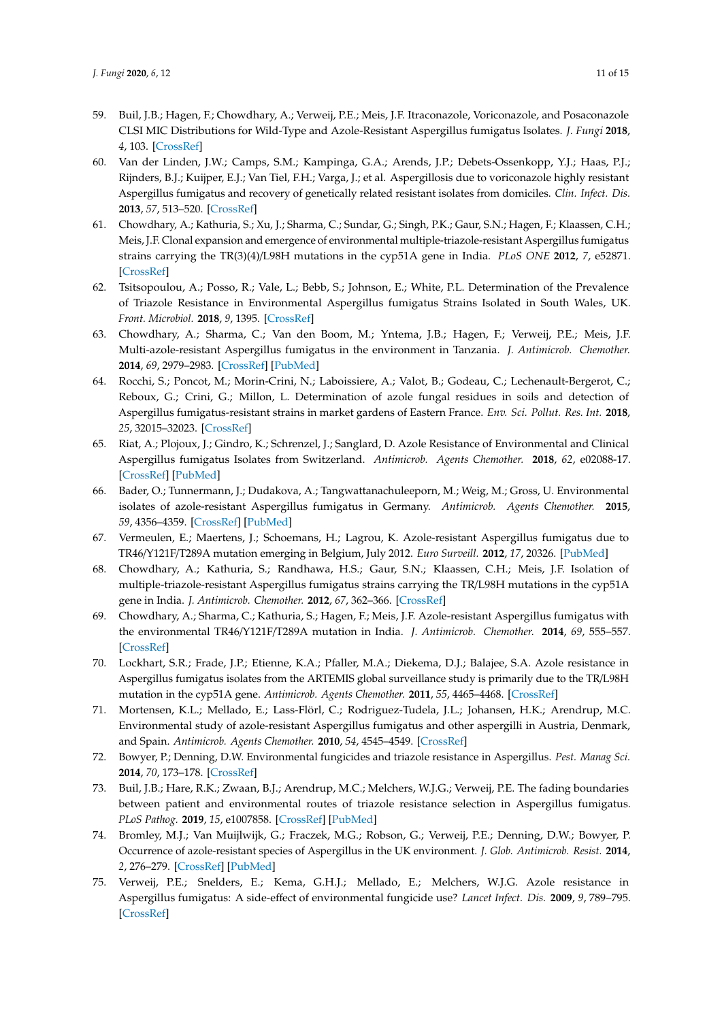- <span id="page-10-0"></span>59. Buil, J.B.; Hagen, F.; Chowdhary, A.; Verweij, P.E.; Meis, J.F. Itraconazole, Voriconazole, and Posaconazole CLSI MIC Distributions for Wild-Type and Azole-Resistant Aspergillus fumigatus Isolates. *J. Fungi* **2018**, *4*, 103. [\[CrossRef\]](http://dx.doi.org/10.3390/jof4030103)
- <span id="page-10-1"></span>60. Van der Linden, J.W.; Camps, S.M.; Kampinga, G.A.; Arends, J.P.; Debets-Ossenkopp, Y.J.; Haas, P.J.; Rijnders, B.J.; Kuijper, E.J.; Van Tiel, F.H.; Varga, J.; et al. Aspergillosis due to voriconazole highly resistant Aspergillus fumigatus and recovery of genetically related resistant isolates from domiciles. *Clin. Infect. Dis.* **2013**, *57*, 513–520. [\[CrossRef\]](http://dx.doi.org/10.1093/cid/cit320)
- <span id="page-10-2"></span>61. Chowdhary, A.; Kathuria, S.; Xu, J.; Sharma, C.; Sundar, G.; Singh, P.K.; Gaur, S.N.; Hagen, F.; Klaassen, C.H.; Meis, J.F. Clonal expansion and emergence of environmental multiple-triazole-resistant Aspergillus fumigatus strains carrying the TR(3)(4)/L98H mutations in the cyp51A gene in India. *PLoS ONE* **2012**, *7*, e52871. [\[CrossRef\]](http://dx.doi.org/10.1371/journal.pone.0052871)
- 62. Tsitsopoulou, A.; Posso, R.; Vale, L.; Bebb, S.; Johnson, E.; White, P.L. Determination of the Prevalence of Triazole Resistance in Environmental Aspergillus fumigatus Strains Isolated in South Wales, UK. *Front. Microbiol.* **2018**, *9*, 1395. [\[CrossRef\]](http://dx.doi.org/10.3389/fmicb.2018.01395)
- <span id="page-10-6"></span>63. Chowdhary, A.; Sharma, C.; Van den Boom, M.; Yntema, J.B.; Hagen, F.; Verweij, P.E.; Meis, J.F. Multi-azole-resistant Aspergillus fumigatus in the environment in Tanzania. *J. Antimicrob. Chemother.* **2014**, *69*, 2979–2983. [\[CrossRef\]](http://dx.doi.org/10.1093/jac/dku259) [\[PubMed\]](http://www.ncbi.nlm.nih.gov/pubmed/25006238)
- 64. Rocchi, S.; Poncot, M.; Morin-Crini, N.; Laboissiere, A.; Valot, B.; Godeau, C.; Lechenault-Bergerot, C.; Reboux, G.; Crini, G.; Millon, L. Determination of azole fungal residues in soils and detection of Aspergillus fumigatus-resistant strains in market gardens of Eastern France. *Env. Sci. Pollut. Res. Int.* **2018**, *25*, 32015–32023. [\[CrossRef\]](http://dx.doi.org/10.1007/s11356-018-3177-6)
- 65. Riat, A.; Plojoux, J.; Gindro, K.; Schrenzel, J.; Sanglard, D. Azole Resistance of Environmental and Clinical Aspergillus fumigatus Isolates from Switzerland. *Antimicrob. Agents Chemother.* **2018**, *62*, e02088-17. [\[CrossRef\]](http://dx.doi.org/10.1128/AAC.02088-17) [\[PubMed\]](http://www.ncbi.nlm.nih.gov/pubmed/29437612)
- 66. Bader, O.; Tunnermann, J.; Dudakova, A.; Tangwattanachuleeporn, M.; Weig, M.; Gross, U. Environmental isolates of azole-resistant Aspergillus fumigatus in Germany. *Antimicrob. Agents Chemother.* **2015**, *59*, 4356–4359. [\[CrossRef\]](http://dx.doi.org/10.1128/AAC.00100-15) [\[PubMed\]](http://www.ncbi.nlm.nih.gov/pubmed/25941229)
- <span id="page-10-7"></span>67. Vermeulen, E.; Maertens, J.; Schoemans, H.; Lagrou, K. Azole-resistant Aspergillus fumigatus due to TR46/Y121F/T289A mutation emerging in Belgium, July 2012. *Euro Surveill.* **2012**, *17*, 20326. [\[PubMed\]](http://www.ncbi.nlm.nih.gov/pubmed/23218390)
- 68. Chowdhary, A.; Kathuria, S.; Randhawa, H.S.; Gaur, S.N.; Klaassen, C.H.; Meis, J.F. Isolation of multiple-triazole-resistant Aspergillus fumigatus strains carrying the TR/L98H mutations in the cyp51A gene in India. *J. Antimicrob. Chemother.* **2012**, *67*, 362–366. [\[CrossRef\]](http://dx.doi.org/10.1093/jac/dkr443)
- <span id="page-10-4"></span>69. Chowdhary, A.; Sharma, C.; Kathuria, S.; Hagen, F.; Meis, J.F. Azole-resistant Aspergillus fumigatus with the environmental TR46/Y121F/T289A mutation in India. *J. Antimicrob. Chemother.* **2014**, *69*, 555–557. [\[CrossRef\]](http://dx.doi.org/10.1093/jac/dkt397)
- 70. Lockhart, S.R.; Frade, J.P.; Etienne, K.A.; Pfaller, M.A.; Diekema, D.J.; Balajee, S.A. Azole resistance in Aspergillus fumigatus isolates from the ARTEMIS global surveillance study is primarily due to the TR/L98H mutation in the cyp51A gene. *Antimicrob. Agents Chemother.* **2011**, *55*, 4465–4468. [\[CrossRef\]](http://dx.doi.org/10.1128/AAC.00185-11)
- <span id="page-10-3"></span>71. Mortensen, K.L.; Mellado, E.; Lass-Flörl, C.; Rodriguez-Tudela, J.L.; Johansen, H.K.; Arendrup, M.C. Environmental study of azole-resistant Aspergillus fumigatus and other aspergilli in Austria, Denmark, and Spain. *Antimicrob. Agents Chemother.* **2010**, *54*, 4545–4549. [\[CrossRef\]](http://dx.doi.org/10.1128/AAC.00692-10)
- <span id="page-10-5"></span>72. Bowyer, P.; Denning, D.W. Environmental fungicides and triazole resistance in Aspergillus. *Pest. Manag Sci.* **2014**, *70*, 173–178. [\[CrossRef\]](http://dx.doi.org/10.1002/ps.3567)
- 73. Buil, J.B.; Hare, R.K.; Zwaan, B.J.; Arendrup, M.C.; Melchers, W.J.G.; Verweij, P.E. The fading boundaries between patient and environmental routes of triazole resistance selection in Aspergillus fumigatus. *PLoS Pathog.* **2019**, *15*, e1007858. [\[CrossRef\]](http://dx.doi.org/10.1371/journal.ppat.1007858) [\[PubMed\]](http://www.ncbi.nlm.nih.gov/pubmed/31437247)
- 74. Bromley, M.J.; Van Muijlwijk, G.; Fraczek, M.G.; Robson, G.; Verweij, P.E.; Denning, D.W.; Bowyer, P. Occurrence of azole-resistant species of Aspergillus in the UK environment. *J. Glob. Antimicrob. Resist.* **2014**, *2*, 276–279. [\[CrossRef\]](http://dx.doi.org/10.1016/j.jgar.2014.05.004) [\[PubMed\]](http://www.ncbi.nlm.nih.gov/pubmed/27873687)
- 75. Verweij, P.E.; Snelders, E.; Kema, G.H.J.; Mellado, E.; Melchers, W.J.G. Azole resistance in Aspergillus fumigatus: A side-effect of environmental fungicide use? *Lancet Infect. Dis.* **2009**, *9*, 789–795. [\[CrossRef\]](http://dx.doi.org/10.1016/S1473-3099(09)70265-8)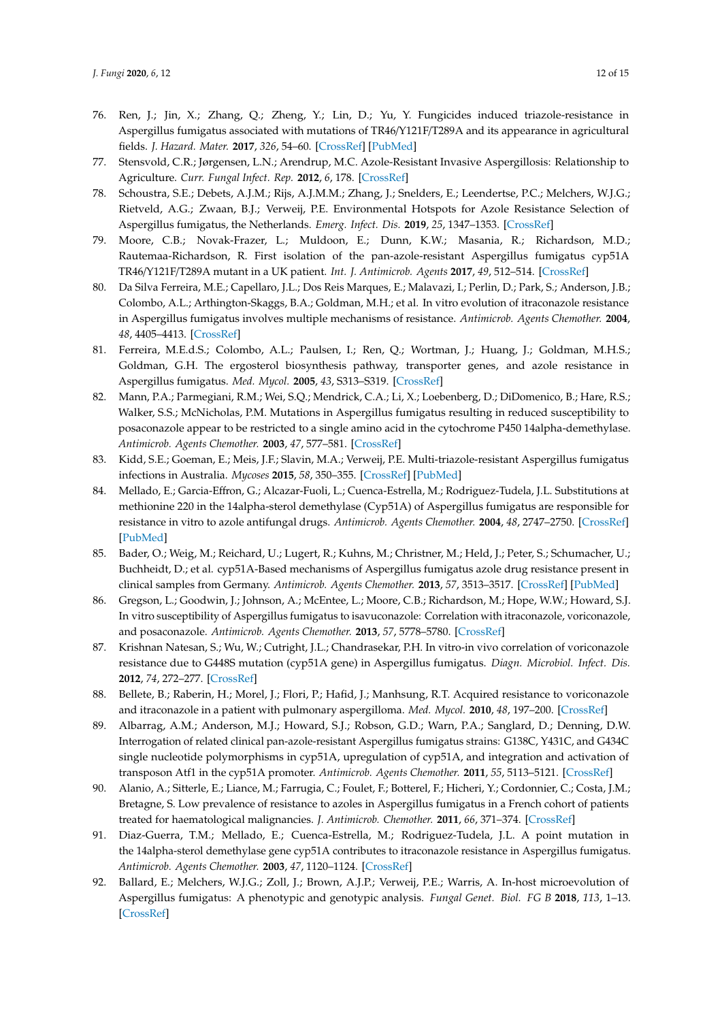- 76. Ren, J.; Jin, X.; Zhang, Q.; Zheng, Y.; Lin, D.; Yu, Y. Fungicides induced triazole-resistance in Aspergillus fumigatus associated with mutations of TR46/Y121F/T289A and its appearance in agricultural fields. *J. Hazard. Mater.* **2017**, *326*, 54–60. [\[CrossRef\]](http://dx.doi.org/10.1016/j.jhazmat.2016.12.013) [\[PubMed\]](http://www.ncbi.nlm.nih.gov/pubmed/27987450)
- 77. Stensvold, C.R.; Jørgensen, L.N.; Arendrup, M.C. Azole-Resistant Invasive Aspergillosis: Relationship to Agriculture. *Curr. Fungal Infect. Rep.* **2012**, *6*, 178. [\[CrossRef\]](http://dx.doi.org/10.1007/s12281-012-0097-7)
- <span id="page-11-0"></span>78. Schoustra, S.E.; Debets, A.J.M.; Rijs, A.J.M.M.; Zhang, J.; Snelders, E.; Leendertse, P.C.; Melchers, W.J.G.; Rietveld, A.G.; Zwaan, B.J.; Verweij, P.E. Environmental Hotspots for Azole Resistance Selection of Aspergillus fumigatus, the Netherlands. *Emerg. Infect. Dis.* **2019**, *25*, 1347–1353. [\[CrossRef\]](http://dx.doi.org/10.3201/eid2507.181625)
- <span id="page-11-1"></span>79. Moore, C.B.; Novak-Frazer, L.; Muldoon, E.; Dunn, K.W.; Masania, R.; Richardson, M.D.; Rautemaa-Richardson, R. First isolation of the pan-azole-resistant Aspergillus fumigatus cyp51A TR46/Y121F/T289A mutant in a UK patient. *Int. J. Antimicrob. Agents* **2017**, *49*, 512–514. [\[CrossRef\]](http://dx.doi.org/10.1016/j.ijantimicag.2017.01.004)
- <span id="page-11-2"></span>80. Da Silva Ferreira, M.E.; Capellaro, J.L.; Dos Reis Marques, E.; Malavazi, I.; Perlin, D.; Park, S.; Anderson, J.B.; Colombo, A.L.; Arthington-Skaggs, B.A.; Goldman, M.H.; et al. In vitro evolution of itraconazole resistance in Aspergillus fumigatus involves multiple mechanisms of resistance. *Antimicrob. Agents Chemother.* **2004**, *48*, 4405–4413. [\[CrossRef\]](http://dx.doi.org/10.1128/AAC.48.11.4405-4413.2004)
- <span id="page-11-4"></span>81. Ferreira, M.E.d.S.; Colombo, A.L.; Paulsen, I.; Ren, Q.; Wortman, J.; Huang, J.; Goldman, M.H.S.; Goldman, G.H. The ergosterol biosynthesis pathway, transporter genes, and azole resistance in Aspergillus fumigatus. *Med. Mycol.* **2005**, *43*, S313–S319. [\[CrossRef\]](http://dx.doi.org/10.1080/13693780400029114)
- 82. Mann, P.A.; Parmegiani, R.M.; Wei, S.Q.; Mendrick, C.A.; Li, X.; Loebenberg, D.; DiDomenico, B.; Hare, R.S.; Walker, S.S.; McNicholas, P.M. Mutations in Aspergillus fumigatus resulting in reduced susceptibility to posaconazole appear to be restricted to a single amino acid in the cytochrome P450 14alpha-demethylase. *Antimicrob. Agents Chemother.* **2003**, *47*, 577–581. [\[CrossRef\]](http://dx.doi.org/10.1128/AAC.47.2.577-581.2003)
- <span id="page-11-5"></span>83. Kidd, S.E.; Goeman, E.; Meis, J.F.; Slavin, M.A.; Verweij, P.E. Multi-triazole-resistant Aspergillus fumigatus infections in Australia. *Mycoses* **2015**, *58*, 350–355. [\[CrossRef\]](http://dx.doi.org/10.1111/myc.12324) [\[PubMed\]](http://www.ncbi.nlm.nih.gov/pubmed/25885568)
- <span id="page-11-10"></span>84. Mellado, E.; Garcia-Effron, G.; Alcazar-Fuoli, L.; Cuenca-Estrella, M.; Rodriguez-Tudela, J.L. Substitutions at methionine 220 in the 14alpha-sterol demethylase (Cyp51A) of Aspergillus fumigatus are responsible for resistance in vitro to azole antifungal drugs. *Antimicrob. Agents Chemother.* **2004**, *48*, 2747–2750. [\[CrossRef\]](http://dx.doi.org/10.1128/AAC.48.7.2747-2750.2004) [\[PubMed\]](http://www.ncbi.nlm.nih.gov/pubmed/15215142)
- <span id="page-11-9"></span>85. Bader, O.; Weig, M.; Reichard, U.; Lugert, R.; Kuhns, M.; Christner, M.; Held, J.; Peter, S.; Schumacher, U.; Buchheidt, D.; et al. cyp51A-Based mechanisms of Aspergillus fumigatus azole drug resistance present in clinical samples from Germany. *Antimicrob. Agents Chemother.* **2013**, *57*, 3513–3517. [\[CrossRef\]](http://dx.doi.org/10.1128/AAC.00167-13) [\[PubMed\]](http://www.ncbi.nlm.nih.gov/pubmed/23669382)
- <span id="page-11-8"></span>86. Gregson, L.; Goodwin, J.; Johnson, A.; McEntee, L.; Moore, C.B.; Richardson, M.; Hope, W.W.; Howard, S.J. In vitro susceptibility of Aspergillus fumigatus to isavuconazole: Correlation with itraconazole, voriconazole, and posaconazole. *Antimicrob. Agents Chemother.* **2013**, *57*, 5778–5780. [\[CrossRef\]](http://dx.doi.org/10.1128/AAC.01141-13)
- 87. Krishnan Natesan, S.; Wu, W.; Cutright, J.L.; Chandrasekar, P.H. In vitro-in vivo correlation of voriconazole resistance due to G448S mutation (cyp51A gene) in Aspergillus fumigatus. *Diagn. Microbiol. Infect. Dis.* **2012**, *74*, 272–277. [\[CrossRef\]](http://dx.doi.org/10.1016/j.diagmicrobio.2012.06.030)
- <span id="page-11-12"></span>88. Bellete, B.; Raberin, H.; Morel, J.; Flori, P.; Hafid, J.; Manhsung, R.T. Acquired resistance to voriconazole and itraconazole in a patient with pulmonary aspergilloma. *Med. Mycol.* **2010**, *48*, 197–200. [\[CrossRef\]](http://dx.doi.org/10.3109/13693780902717018)
- <span id="page-11-3"></span>89. Albarrag, A.M.; Anderson, M.J.; Howard, S.J.; Robson, G.D.; Warn, P.A.; Sanglard, D.; Denning, D.W. Interrogation of related clinical pan-azole-resistant Aspergillus fumigatus strains: G138C, Y431C, and G434C single nucleotide polymorphisms in cyp51A, upregulation of cyp51A, and integration and activation of transposon Atf1 in the cyp51A promoter. *Antimicrob. Agents Chemother.* **2011**, *55*, 5113–5121. [\[CrossRef\]](http://dx.doi.org/10.1128/AAC.00517-11)
- <span id="page-11-11"></span>90. Alanio, A.; Sitterle, E.; Liance, M.; Farrugia, C.; Foulet, F.; Botterel, F.; Hicheri, Y.; Cordonnier, C.; Costa, J.M.; Bretagne, S. Low prevalence of resistance to azoles in Aspergillus fumigatus in a French cohort of patients treated for haematological malignancies. *J. Antimicrob. Chemother.* **2011**, *66*, 371–374. [\[CrossRef\]](http://dx.doi.org/10.1093/jac/dkq450)
- <span id="page-11-6"></span>91. Diaz-Guerra, T.M.; Mellado, E.; Cuenca-Estrella, M.; Rodriguez-Tudela, J.L. A point mutation in the 14alpha-sterol demethylase gene cyp51A contributes to itraconazole resistance in Aspergillus fumigatus. *Antimicrob. Agents Chemother.* **2003**, *47*, 1120–1124. [\[CrossRef\]](http://dx.doi.org/10.1128/AAC.47.3.1120-1124.2003)
- <span id="page-11-7"></span>92. Ballard, E.; Melchers, W.J.G.; Zoll, J.; Brown, A.J.P.; Verweij, P.E.; Warris, A. In-host microevolution of Aspergillus fumigatus: A phenotypic and genotypic analysis. *Fungal Genet. Biol. FG B* **2018**, *113*, 1–13. [\[CrossRef\]](http://dx.doi.org/10.1016/j.fgb.2018.02.003)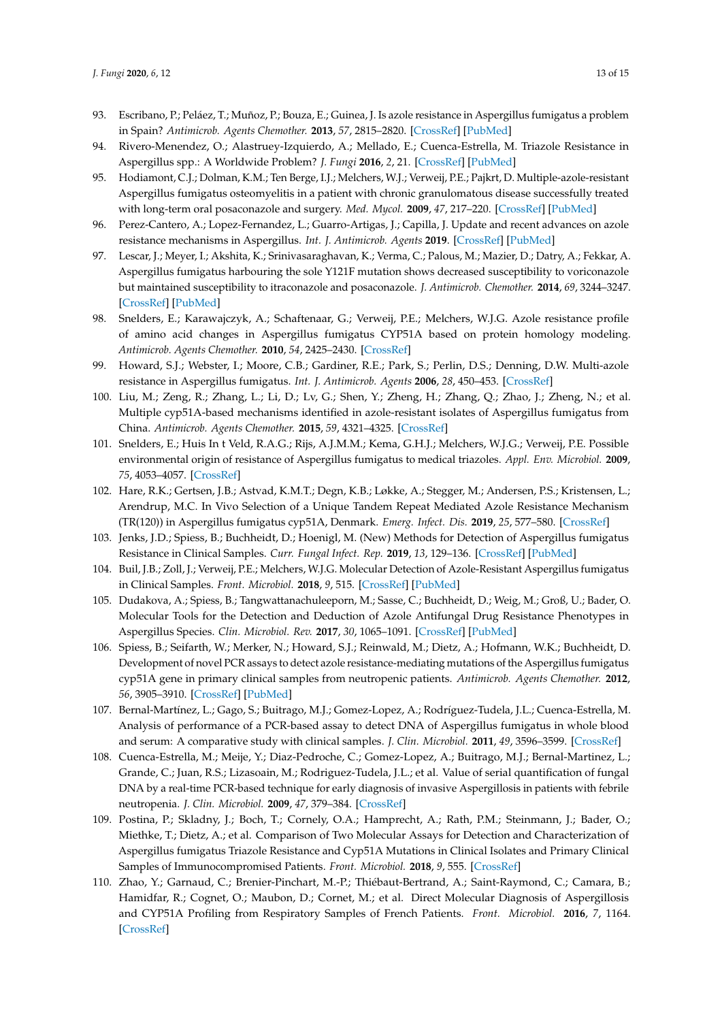- <span id="page-12-0"></span>93. Escribano, P.; Peláez, T.; Muñoz, P.; Bouza, E.; Guinea, J. Is azole resistance in Aspergillus fumigatus a problem in Spain? *Antimicrob. Agents Chemother.* **2013**, *57*, 2815–2820. [\[CrossRef\]](http://dx.doi.org/10.1128/AAC.02487-12) [\[PubMed\]](http://www.ncbi.nlm.nih.gov/pubmed/23629706)
- <span id="page-12-1"></span>94. Rivero-Menendez, O.; Alastruey-Izquierdo, A.; Mellado, E.; Cuenca-Estrella, M. Triazole Resistance in Aspergillus spp.: A Worldwide Problem? *J. Fungi* **2016**, *2*, 21. [\[CrossRef\]](http://dx.doi.org/10.3390/jof2030021) [\[PubMed\]](http://www.ncbi.nlm.nih.gov/pubmed/29376938)
- <span id="page-12-2"></span>95. Hodiamont, C.J.; Dolman, K.M.; Ten Berge, I.J.; Melchers, W.J.; Verweij, P.E.; Pajkrt, D. Multiple-azole-resistant Aspergillus fumigatus osteomyelitis in a patient with chronic granulomatous disease successfully treated with long-term oral posaconazole and surgery. *Med. Mycol.* **2009**, *47*, 217–220. [\[CrossRef\]](http://dx.doi.org/10.1080/13693780802545600) [\[PubMed\]](http://www.ncbi.nlm.nih.gov/pubmed/19101840)
- <span id="page-12-13"></span>96. Perez-Cantero, A.; Lopez-Fernandez, L.; Guarro-Artigas, J.; Capilla, J. Update and recent advances on azole resistance mechanisms in Aspergillus. *Int. J. Antimicrob. Agents* **2019**. [\[CrossRef\]](http://dx.doi.org/10.1016/j.ijantimicag.2019.09.011) [\[PubMed\]](http://www.ncbi.nlm.nih.gov/pubmed/31542320)
- <span id="page-12-4"></span>97. Lescar, J.; Meyer, I.; Akshita, K.; Srinivasaraghavan, K.; Verma, C.; Palous, M.; Mazier, D.; Datry, A.; Fekkar, A. Aspergillus fumigatus harbouring the sole Y121F mutation shows decreased susceptibility to voriconazole but maintained susceptibility to itraconazole and posaconazole. *J. Antimicrob. Chemother.* **2014**, *69*, 3244–3247. [\[CrossRef\]](http://dx.doi.org/10.1093/jac/dku316) [\[PubMed\]](http://www.ncbi.nlm.nih.gov/pubmed/25125676)
- <span id="page-12-6"></span>98. Snelders, E.; Karawajczyk, A.; Schaftenaar, G.; Verweij, P.E.; Melchers, W.J.G. Azole resistance profile of amino acid changes in Aspergillus fumigatus CYP51A based on protein homology modeling. *Antimicrob. Agents Chemother.* **2010**, *54*, 2425–2430. [\[CrossRef\]](http://dx.doi.org/10.1128/AAC.01599-09)
- <span id="page-12-5"></span>99. Howard, S.J.; Webster, I.; Moore, C.B.; Gardiner, R.E.; Park, S.; Perlin, D.S.; Denning, D.W. Multi-azole resistance in Aspergillus fumigatus. *Int. J. Antimicrob. Agents* **2006**, *28*, 450–453. [\[CrossRef\]](http://dx.doi.org/10.1016/j.ijantimicag.2006.08.017)
- <span id="page-12-8"></span>100. Liu, M.; Zeng, R.; Zhang, L.; Li, D.; Lv, G.; Shen, Y.; Zheng, H.; Zhang, Q.; Zhao, J.; Zheng, N.; et al. Multiple cyp51A-based mechanisms identified in azole-resistant isolates of Aspergillus fumigatus from China. *Antimicrob. Agents Chemother.* **2015**, *59*, 4321–4325. [\[CrossRef\]](http://dx.doi.org/10.1128/AAC.00003-15)
- <span id="page-12-7"></span>101. Snelders, E.; Huis In t Veld, R.A.G.; Rijs, A.J.M.M.; Kema, G.H.J.; Melchers, W.J.G.; Verweij, P.E. Possible environmental origin of resistance of Aspergillus fumigatus to medical triazoles. *Appl. Env. Microbiol.* **2009**, *75*, 4053–4057. [\[CrossRef\]](http://dx.doi.org/10.1128/AEM.00231-09)
- <span id="page-12-3"></span>102. Hare, R.K.; Gertsen, J.B.; Astvad, K.M.T.; Degn, K.B.; Løkke, A.; Stegger, M.; Andersen, P.S.; Kristensen, L.; Arendrup, M.C. In Vivo Selection of a Unique Tandem Repeat Mediated Azole Resistance Mechanism (TR(120)) in Aspergillus fumigatus cyp51A, Denmark. *Emerg. Infect. Dis.* **2019**, *25*, 577–580. [\[CrossRef\]](http://dx.doi.org/10.3201/eid2503.180297)
- <span id="page-12-9"></span>103. Jenks, J.D.; Spiess, B.; Buchheidt, D.; Hoenigl, M. (New) Methods for Detection of Aspergillus fumigatus Resistance in Clinical Samples. *Curr. Fungal Infect. Rep.* **2019**, *13*, 129–136. [\[CrossRef\]](http://dx.doi.org/10.1007/s12281-019-00342-w) [\[PubMed\]](http://www.ncbi.nlm.nih.gov/pubmed/31552129)
- 104. Buil, J.B.; Zoll, J.; Verweij, P.E.; Melchers, W.J.G. Molecular Detection of Azole-Resistant Aspergillus fumigatus in Clinical Samples. *Front. Microbiol.* **2018**, *9*, 515. [\[CrossRef\]](http://dx.doi.org/10.3389/fmicb.2018.00515) [\[PubMed\]](http://www.ncbi.nlm.nih.gov/pubmed/29619020)
- <span id="page-12-11"></span>105. Dudakova, A.; Spiess, B.; Tangwattanachuleeporn, M.; Sasse, C.; Buchheidt, D.; Weig, M.; Groß, U.; Bader, O. Molecular Tools for the Detection and Deduction of Azole Antifungal Drug Resistance Phenotypes in Aspergillus Species. *Clin. Microbiol. Rev.* **2017**, *30*, 1065–1091. [\[CrossRef\]](http://dx.doi.org/10.1128/CMR.00095-16) [\[PubMed\]](http://www.ncbi.nlm.nih.gov/pubmed/28903985)
- 106. Spiess, B.; Seifarth, W.; Merker, N.; Howard, S.J.; Reinwald, M.; Dietz, A.; Hofmann, W.K.; Buchheidt, D. Development of novel PCR assays to detect azole resistance-mediating mutations of the Aspergillus fumigatus cyp51A gene in primary clinical samples from neutropenic patients. *Antimicrob. Agents Chemother.* **2012**, *56*, 3905–3910. [\[CrossRef\]](http://dx.doi.org/10.1128/AAC.05902-11) [\[PubMed\]](http://www.ncbi.nlm.nih.gov/pubmed/22526309)
- 107. Bernal-Martínez, L.; Gago, S.; Buitrago, M.J.; Gomez-Lopez, A.; Rodríguez-Tudela, J.L.; Cuenca-Estrella, M. Analysis of performance of a PCR-based assay to detect DNA of Aspergillus fumigatus in whole blood and serum: A comparative study with clinical samples. *J. Clin. Microbiol.* **2011**, *49*, 3596–3599. [\[CrossRef\]](http://dx.doi.org/10.1128/JCM.00647-11)
- 108. Cuenca-Estrella, M.; Meije, Y.; Diaz-Pedroche, C.; Gomez-Lopez, A.; Buitrago, M.J.; Bernal-Martinez, L.; Grande, C.; Juan, R.S.; Lizasoain, M.; Rodriguez-Tudela, J.L.; et al. Value of serial quantification of fungal DNA by a real-time PCR-based technique for early diagnosis of invasive Aspergillosis in patients with febrile neutropenia. *J. Clin. Microbiol.* **2009**, *47*, 379–384. [\[CrossRef\]](http://dx.doi.org/10.1128/JCM.01716-08)
- <span id="page-12-12"></span>109. Postina, P.; Skladny, J.; Boch, T.; Cornely, O.A.; Hamprecht, A.; Rath, P.M.; Steinmann, J.; Bader, O.; Miethke, T.; Dietz, A.; et al. Comparison of Two Molecular Assays for Detection and Characterization of Aspergillus fumigatus Triazole Resistance and Cyp51A Mutations in Clinical Isolates and Primary Clinical Samples of Immunocompromised Patients. *Front. Microbiol.* **2018**, *9*, 555. [\[CrossRef\]](http://dx.doi.org/10.3389/fmicb.2018.00555)
- <span id="page-12-10"></span>110. Zhao, Y.; Garnaud, C.; Brenier-Pinchart, M.-P.; Thiébaut-Bertrand, A.; Saint-Raymond, C.; Camara, B.; Hamidfar, R.; Cognet, O.; Maubon, D.; Cornet, M.; et al. Direct Molecular Diagnosis of Aspergillosis and CYP51A Profiling from Respiratory Samples of French Patients. *Front. Microbiol.* **2016**, *7*, 1164. [\[CrossRef\]](http://dx.doi.org/10.3389/fmicb.2016.01164)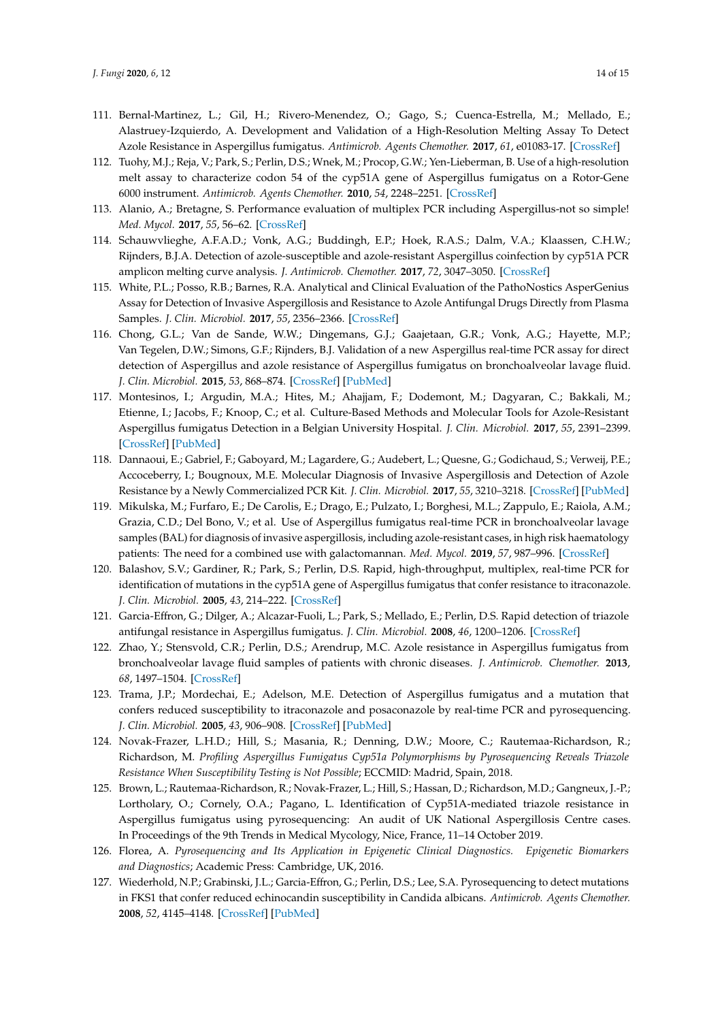- <span id="page-13-0"></span>111. Bernal-Martinez, L.; Gil, H.; Rivero-Menendez, O.; Gago, S.; Cuenca-Estrella, M.; Mellado, E.; Alastruey-Izquierdo, A. Development and Validation of a High-Resolution Melting Assay To Detect Azole Resistance in Aspergillus fumigatus. *Antimicrob. Agents Chemother.* **2017**, *61*, e01083-17. [\[CrossRef\]](http://dx.doi.org/10.1128/AAC.01083-17)
- <span id="page-13-1"></span>112. Tuohy, M.J.; Reja, V.; Park, S.; Perlin, D.S.; Wnek, M.; Procop, G.W.; Yen-Lieberman, B. Use of a high-resolution melt assay to characterize codon 54 of the cyp51A gene of Aspergillus fumigatus on a Rotor-Gene 6000 instrument. *Antimicrob. Agents Chemother.* **2010**, *54*, 2248–2251. [\[CrossRef\]](http://dx.doi.org/10.1128/AAC.01712-09)
- <span id="page-13-2"></span>113. Alanio, A.; Bretagne, S. Performance evaluation of multiplex PCR including Aspergillus-not so simple! *Med. Mycol.* **2017**, *55*, 56–62. [\[CrossRef\]](http://dx.doi.org/10.1093/mmy/myw080)
- <span id="page-13-3"></span>114. Schauwvlieghe, A.F.A.D.; Vonk, A.G.; Buddingh, E.P.; Hoek, R.A.S.; Dalm, V.A.; Klaassen, C.H.W.; Rijnders, B.J.A. Detection of azole-susceptible and azole-resistant Aspergillus coinfection by cyp51A PCR amplicon melting curve analysis. *J. Antimicrob. Chemother.* **2017**, *72*, 3047–3050. [\[CrossRef\]](http://dx.doi.org/10.1093/jac/dkx262)
- 115. White, P.L.; Posso, R.B.; Barnes, R.A. Analytical and Clinical Evaluation of the PathoNostics AsperGenius Assay for Detection of Invasive Aspergillosis and Resistance to Azole Antifungal Drugs Directly from Plasma Samples. *J. Clin. Microbiol.* **2017**, *55*, 2356–2366. [\[CrossRef\]](http://dx.doi.org/10.1128/JCM.00411-17)
- 116. Chong, G.L.; Van de Sande, W.W.; Dingemans, G.J.; Gaajetaan, G.R.; Vonk, A.G.; Hayette, M.P.; Van Tegelen, D.W.; Simons, G.F.; Rijnders, B.J. Validation of a new Aspergillus real-time PCR assay for direct detection of Aspergillus and azole resistance of Aspergillus fumigatus on bronchoalveolar lavage fluid. *J. Clin. Microbiol.* **2015**, *53*, 868–874. [\[CrossRef\]](http://dx.doi.org/10.1128/JCM.03216-14) [\[PubMed\]](http://www.ncbi.nlm.nih.gov/pubmed/25568431)
- 117. Montesinos, I.; Argudin, M.A.; Hites, M.; Ahajjam, F.; Dodemont, M.; Dagyaran, C.; Bakkali, M.; Etienne, I.; Jacobs, F.; Knoop, C.; et al. Culture-Based Methods and Molecular Tools for Azole-Resistant Aspergillus fumigatus Detection in a Belgian University Hospital. *J. Clin. Microbiol.* **2017**, *55*, 2391–2399. [\[CrossRef\]](http://dx.doi.org/10.1128/JCM.00520-17) [\[PubMed\]](http://www.ncbi.nlm.nih.gov/pubmed/28515220)
- 118. Dannaoui, E.; Gabriel, F.; Gaboyard, M.; Lagardere, G.; Audebert, L.; Quesne, G.; Godichaud, S.; Verweij, P.E.; Accoceberry, I.; Bougnoux, M.E. Molecular Diagnosis of Invasive Aspergillosis and Detection of Azole Resistance by a Newly Commercialized PCR Kit. *J. Clin. Microbiol.* **2017**, *55*, 3210–3218. [\[CrossRef\]](http://dx.doi.org/10.1128/JCM.01032-17) [\[PubMed\]](http://www.ncbi.nlm.nih.gov/pubmed/28814586)
- <span id="page-13-4"></span>119. Mikulska, M.; Furfaro, E.; De Carolis, E.; Drago, E.; Pulzato, I.; Borghesi, M.L.; Zappulo, E.; Raiola, A.M.; Grazia, C.D.; Del Bono, V.; et al. Use of Aspergillus fumigatus real-time PCR in bronchoalveolar lavage samples (BAL) for diagnosis of invasive aspergillosis, including azole-resistant cases, in high risk haematology patients: The need for a combined use with galactomannan. *Med. Mycol.* **2019**, *57*, 987–996. [\[CrossRef\]](http://dx.doi.org/10.1093/mmy/myz002)
- <span id="page-13-5"></span>120. Balashov, S.V.; Gardiner, R.; Park, S.; Perlin, D.S. Rapid, high-throughput, multiplex, real-time PCR for identification of mutations in the cyp51A gene of Aspergillus fumigatus that confer resistance to itraconazole. *J. Clin. Microbiol.* **2005**, *43*, 214–222. [\[CrossRef\]](http://dx.doi.org/10.1128/JCM.43.1.214-222.2005)
- 121. Garcia-Effron, G.; Dilger, A.; Alcazar-Fuoli, L.; Park, S.; Mellado, E.; Perlin, D.S. Rapid detection of triazole antifungal resistance in Aspergillus fumigatus. *J. Clin. Microbiol.* **2008**, *46*, 1200–1206. [\[CrossRef\]](http://dx.doi.org/10.1128/JCM.02330-07)
- <span id="page-13-6"></span>122. Zhao, Y.; Stensvold, C.R.; Perlin, D.S.; Arendrup, M.C. Azole resistance in Aspergillus fumigatus from bronchoalveolar lavage fluid samples of patients with chronic diseases. *J. Antimicrob. Chemother.* **2013**, *68*, 1497–1504. [\[CrossRef\]](http://dx.doi.org/10.1093/jac/dkt071)
- <span id="page-13-7"></span>123. Trama, J.P.; Mordechai, E.; Adelson, M.E. Detection of Aspergillus fumigatus and a mutation that confers reduced susceptibility to itraconazole and posaconazole by real-time PCR and pyrosequencing. *J. Clin. Microbiol.* **2005**, *43*, 906–908. [\[CrossRef\]](http://dx.doi.org/10.1128/JCM.43.2.906-908.2005) [\[PubMed\]](http://www.ncbi.nlm.nih.gov/pubmed/15695702)
- <span id="page-13-8"></span>124. Novak-Frazer, L.H.D.; Hill, S.; Masania, R.; Denning, D.W.; Moore, C.; Rautemaa-Richardson, R.; Richardson, M. *Profiling Aspergillus Fumigatus Cyp51a Polymorphisms by Pyrosequencing Reveals Triazole Resistance When Susceptibility Testing is Not Possible*; ECCMID: Madrid, Spain, 2018.
- <span id="page-13-9"></span>125. Brown, L.; Rautemaa-Richardson, R.; Novak-Frazer, L.; Hill, S.; Hassan, D.; Richardson, M.D.; Gangneux, J.-P.; Lortholary, O.; Cornely, O.A.; Pagano, L. Identification of Cyp51A-mediated triazole resistance in Aspergillus fumigatus using pyrosequencing: An audit of UK National Aspergillosis Centre cases. In Proceedings of the 9th Trends in Medical Mycology, Nice, France, 11–14 October 2019.
- <span id="page-13-10"></span>126. Florea, A. *Pyrosequencing and Its Application in Epigenetic Clinical Diagnostics. Epigenetic Biomarkers and Diagnostics*; Academic Press: Cambridge, UK, 2016.
- <span id="page-13-11"></span>127. Wiederhold, N.P.; Grabinski, J.L.; Garcia-Effron, G.; Perlin, D.S.; Lee, S.A. Pyrosequencing to detect mutations in FKS1 that confer reduced echinocandin susceptibility in Candida albicans. *Antimicrob. Agents Chemother.* **2008**, *52*, 4145–4148. [\[CrossRef\]](http://dx.doi.org/10.1128/AAC.00959-08) [\[PubMed\]](http://www.ncbi.nlm.nih.gov/pubmed/18794385)